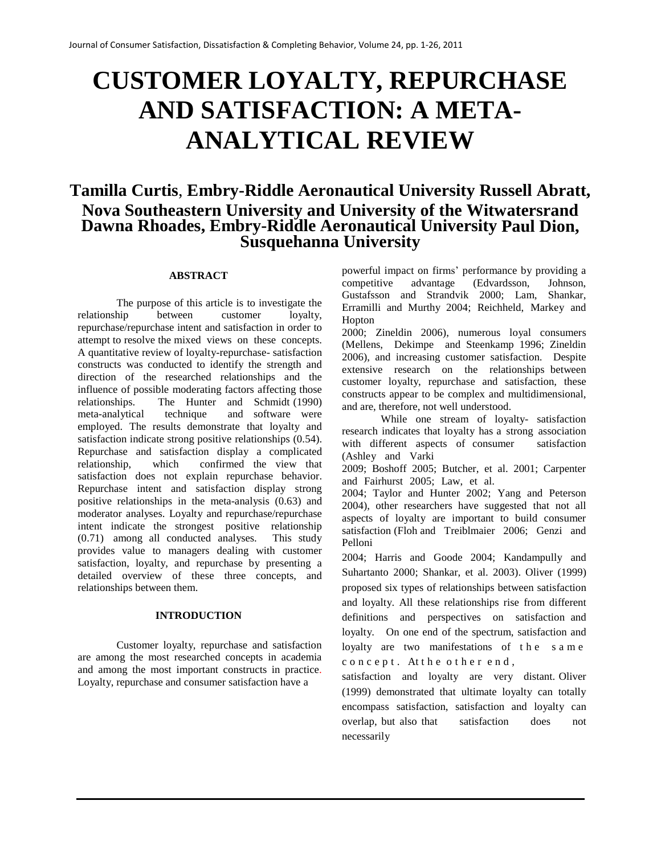# **CUSTOMER LOYALTY, REPURCHASE AND SATISFACTION: A META-ANALYTICAL REVIEW**

# **Tamilla Curtis**, **Embry-Riddle Aeronautical University Russell Abratt, Nova Southeastern University and University of the Witwatersrand Dawna Rhoades, Embry-Riddle Aeronautical University Paul Dion, Susquehanna University**

#### **ABSTRACT**

The purpose of this article is to investigate the relationship between customer loyalty, repurchase/repurchase intent and satisfaction in order to attempt to resolve the mixed views on these concepts. A quantitative review of loyalty-repurchase- satisfaction constructs was conducted to identify the strength and direction of the researched relationships and the influence of possible moderating factors affecting those relationships. The Hunter and Schmidt (1990) meta-analytical technique and software were employed. The results demonstrate that loyalty and satisfaction indicate strong positive relationships (0.54). Repurchase and satisfaction display a complicated relationship, which confirmed the view that satisfaction does not explain repurchase behavior. Repurchase intent and satisfaction display strong positive relationships in the meta-analysis (0.63) and moderator analyses. Loyalty and repurchase/repurchase intent indicate the strongest positive relationship (0.71) among all conducted analyses. This study provides value to managers dealing with customer satisfaction, loyalty, and repurchase by presenting a detailed overview of these three concepts, and relationships between them.

#### **INTRODUCTION**

Customer loyalty, repurchase and satisfaction are among the most researched concepts in academia and among the most important constructs in practice. Loyalty, repurchase and consumer satisfaction have a

powerful impact on firms' performance by providing a competitive advantage (Edvardsson, Johnson, Gustafsson and Strandvik 2000; Lam, Shankar, Erramilli and Murthy 2004; Reichheld, Markey and Hopton

2000; Zineldin 2006), numerous loyal consumers (Mellens, Dekimpe and Steenkamp 1996; Zineldin 2006), and increasing customer satisfaction. Despite extensive research on the relationships between customer loyalty, repurchase and satisfaction, these constructs appear to be complex and multidimensional, and are, therefore, not well understood.

While one stream of loyalty- satisfaction research indicates that loyalty has a strong association with different aspects of consumer satisfaction (Ashley and Varki

2009; Boshoff 2005; Butcher, et al. 2001; Carpenter and Fairhurst 2005; Law, et al.

2004; Taylor and Hunter 2002; Yang and Peterson 2004), other researchers have suggested that not all aspects of loyalty are important to build consumer satisfaction (Floh and Treiblmaier 2006; Genzi and Pelloni

2004; Harris and Goode 2004; Kandampully and Suhartanto 2000; Shankar, et al. 2003). Oliver (1999) proposed six types of relationships between satisfaction and loyalty. All these relationships rise from different definitions and perspectives on satisfaction and loyalty. On one end of the spectrum, satisfaction and loyalty are two manifestations of the s a m e c o n c e p t. At the o therend,

satisfaction and loyalty are very distant. Oliver (1999) demonstrated that ultimate loyalty can totally encompass satisfaction, satisfaction and loyalty can overlap, but also that satisfaction does not necessarily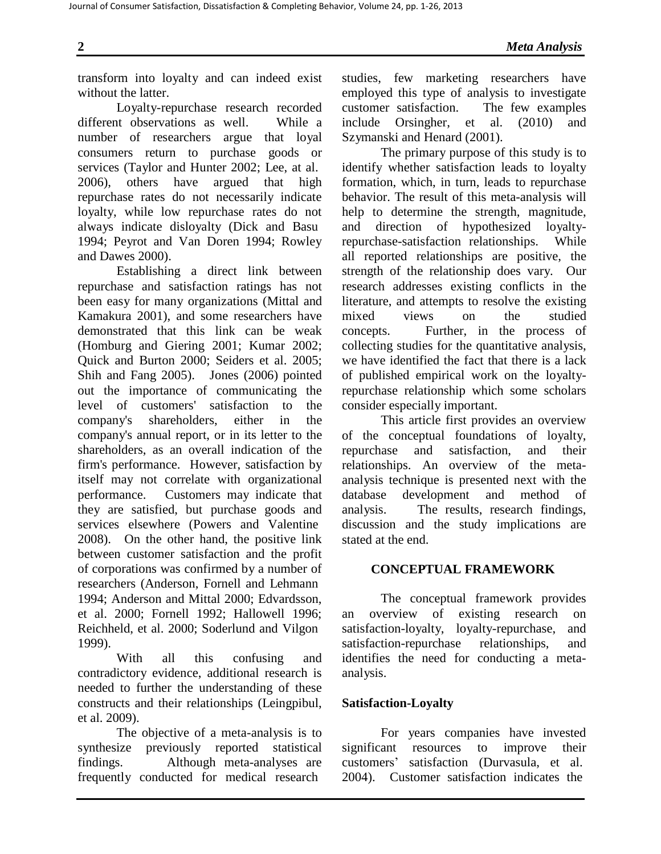transform into loyalty and can indeed exist without the latter.

Loyalty-repurchase research recorded different observations as well. While a number of researchers argue that loyal consumers return to purchase goods or services (Taylor and Hunter 2002; Lee, at al. 2006), others have argued that high repurchase rates do not necessarily indicate loyalty, while low repurchase rates do not always indicate disloyalty (Dick and Basu 1994; Peyrot and Van Doren 1994; Rowley and Dawes 2000).

Establishing a direct link between repurchase and satisfaction ratings has not been easy for many organizations (Mittal and Kamakura 2001), and some researchers have demonstrated that this link can be weak (Homburg and Giering 2001; Kumar 2002; Quick and Burton 2000; Seiders et al. 2005; Shih and Fang 2005). Jones (2006) pointed out the importance of communicating the level of customers' satisfaction to the company's shareholders, either in the company's annual report, or in its letter to the shareholders, as an overall indication of the firm's performance. However, satisfaction by itself may not correlate with organizational performance. Customers may indicate that they are satisfied, but purchase goods and services elsewhere (Powers and Valentine 2008). On the other hand, the positive link between customer satisfaction and the profit of corporations was confirmed by a number of researchers (Anderson, Fornell and Lehmann 1994; Anderson and Mittal 2000; Edvardsson, et al. 2000; Fornell 1992; Hallowell 1996; Reichheld, et al. 2000; Soderlund and Vilgon 1999).

With all this confusing and contradictory evidence, additional research is needed to further the understanding of these constructs and their relationships (Leingpibul, et al. 2009).

The objective of a meta-analysis is to synthesize previously reported statistical findings. Although meta-analyses are frequently conducted for medical research

studies, few marketing researchers have employed this type of analysis to investigate customer satisfaction. The few examples include Orsingher, et al. (2010) and Szymanski and Henard (2001).

The primary purpose of this study is to identify whether satisfaction leads to loyalty formation, which, in turn, leads to repurchase behavior. The result of this meta-analysis will help to determine the strength, magnitude, and direction of hypothesized loyaltyrepurchase-satisfaction relationships. While all reported relationships are positive, the strength of the relationship does vary. Our research addresses existing conflicts in the literature, and attempts to resolve the existing mixed views on the studied concepts. Further, in the process of collecting studies for the quantitative analysis, we have identified the fact that there is a lack of published empirical work on the loyaltyrepurchase relationship which some scholars consider especially important.

This article first provides an overview of the conceptual foundations of loyalty, repurchase and satisfaction, and their relationships. An overview of the metaanalysis technique is presented next with the database development and method of analysis. The results, research findings, discussion and the study implications are stated at the end.

# **CONCEPTUAL FRAMEWORK**

The conceptual framework provides an overview of existing research on satisfaction-loyalty, loyalty-repurchase, and satisfaction-repurchase relationships, and identifies the need for conducting a metaanalysis.

# **Satisfaction-Loyalty**

For years companies have invested significant resources to improve their customers' satisfaction (Durvasula, et al. 2004). Customer satisfaction indicates the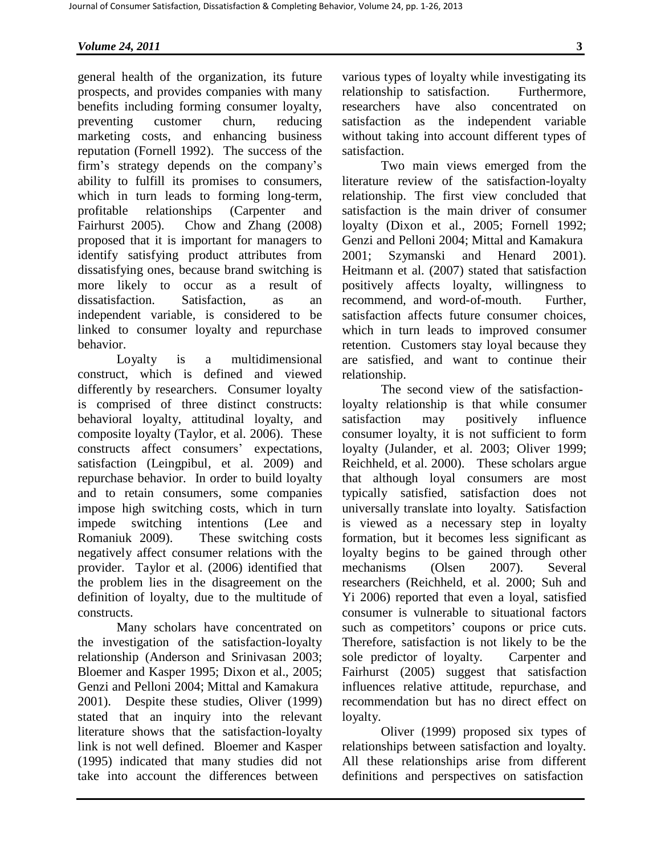general health of the organization, its future prospects, and provides companies with many benefits including forming consumer loyalty, preventing customer churn, reducing marketing costs, and enhancing business reputation (Fornell 1992). The success of the firm's strategy depends on the company's ability to fulfill its promises to consumers, which in turn leads to forming long-term, profitable relationships (Carpenter and Fairhurst 2005). Chow and Zhang (2008) proposed that it is important for managers to identify satisfying product attributes from dissatisfying ones, because brand switching is more likely to occur as a result of dissatisfaction. Satisfaction, as an independent variable, is considered to be linked to consumer loyalty and repurchase behavior.

Loyalty is a multidimensional construct, which is defined and viewed differently by researchers. Consumer loyalty is comprised of three distinct constructs: behavioral loyalty, attitudinal loyalty, and composite loyalty (Taylor, et al. 2006). These constructs affect consumers' expectations, satisfaction (Leingpibul, et al. 2009) and repurchase behavior. In order to build loyalty and to retain consumers, some companies impose high switching costs, which in turn impede switching intentions (Lee and Romaniuk 2009). These switching costs negatively affect consumer relations with the provider. Taylor et al. (2006) identified that the problem lies in the disagreement on the definition of loyalty, due to the multitude of constructs.

Many scholars have concentrated on the investigation of the satisfaction-loyalty relationship (Anderson and Srinivasan 2003; Bloemer and Kasper 1995; Dixon et al., 2005; Genzi and Pelloni 2004; Mittal and Kamakura 2001). Despite these studies, Oliver (1999) stated that an inquiry into the relevant literature shows that the satisfaction-loyalty link is not well defined. Bloemer and Kasper (1995) indicated that many studies did not take into account the differences between

various types of loyalty while investigating its relationship to satisfaction. Furthermore, researchers have also concentrated on satisfaction as the independent variable without taking into account different types of satisfaction.

Two main views emerged from the literature review of the satisfaction-loyalty relationship. The first view concluded that satisfaction is the main driver of consumer loyalty (Dixon et al., 2005; Fornell 1992; Genzi and Pelloni 2004; Mittal and Kamakura 2001; Szymanski and Henard 2001). Heitmann et al. (2007) stated that satisfaction positively affects loyalty, willingness to recommend, and word-of-mouth. Further, satisfaction affects future consumer choices, which in turn leads to improved consumer retention. Customers stay loyal because they are satisfied, and want to continue their relationship.

The second view of the satisfactionloyalty relationship is that while consumer satisfaction may positively influence consumer loyalty, it is not sufficient to form loyalty (Julander, et al. 2003; Oliver 1999; Reichheld, et al. 2000). These scholars argue that although loyal consumers are most typically satisfied, satisfaction does not universally translate into loyalty. Satisfaction is viewed as a necessary step in loyalty formation, but it becomes less significant as loyalty begins to be gained through other mechanisms (Olsen 2007). Several researchers (Reichheld, et al. 2000; Suh and Yi 2006) reported that even a loyal, satisfied consumer is vulnerable to situational factors such as competitors' coupons or price cuts. Therefore, satisfaction is not likely to be the sole predictor of loyalty. Carpenter and Fairhurst (2005) suggest that satisfaction influences relative attitude, repurchase, and recommendation but has no direct effect on loyalty.

Oliver (1999) proposed six types of relationships between satisfaction and loyalty. All these relationships arise from different definitions and perspectives on satisfaction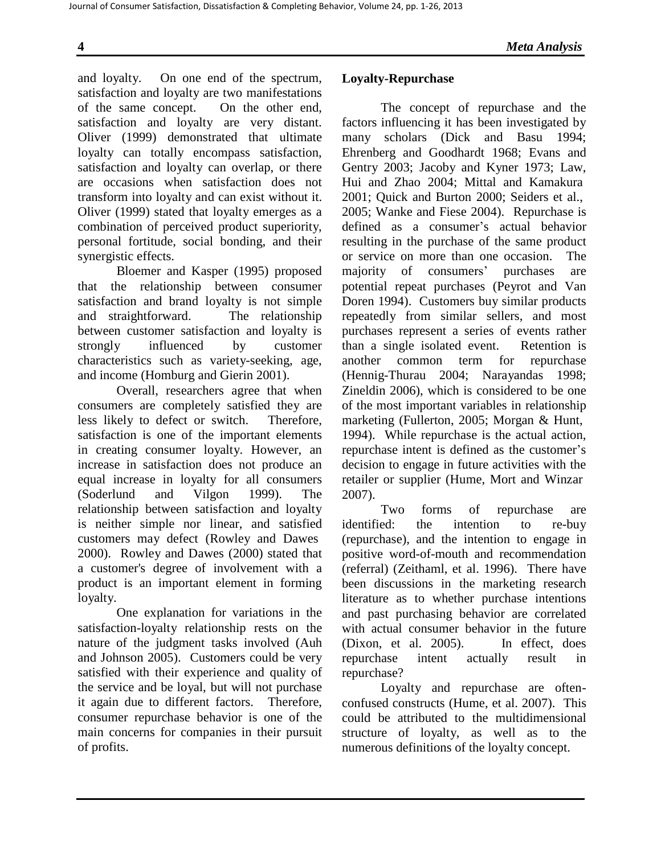and loyalty. On one end of the spectrum, satisfaction and loyalty are two manifestations of the same concept. On the other end, satisfaction and loyalty are very distant. Oliver (1999) demonstrated that ultimate loyalty can totally encompass satisfaction, satisfaction and loyalty can overlap, or there are occasions when satisfaction does not transform into loyalty and can exist without it. Oliver (1999) stated that loyalty emerges as a combination of perceived product superiority, personal fortitude, social bonding, and their synergistic effects.

Bloemer and Kasper (1995) proposed that the relationship between consumer satisfaction and brand loyalty is not simple and straightforward. The relationship between customer satisfaction and loyalty is strongly influenced by customer characteristics such as variety-seeking, age, and income (Homburg and Gierin 2001).

Overall, researchers agree that when consumers are completely satisfied they are less likely to defect or switch. Therefore, satisfaction is one of the important elements in creating consumer loyalty. However, an increase in satisfaction does not produce an equal increase in loyalty for all consumers (Soderlund and Vilgon 1999). The relationship between satisfaction and loyalty is neither simple nor linear, and satisfied customers may defect (Rowley and Dawes 2000). Rowley and Dawes (2000) stated that a customer's degree of involvement with a product is an important element in forming loyalty.

One explanation for variations in the satisfaction-loyalty relationship rests on the nature of the judgment tasks involved (Auh and Johnson 2005). Customers could be very satisfied with their experience and quality of the service and be loyal, but will not purchase it again due to different factors. Therefore, consumer repurchase behavior is one of the main concerns for companies in their pursuit of profits.

# **Loyalty-Repurchase**

The concept of repurchase and the factors influencing it has been investigated by many scholars (Dick and Basu 1994; Ehrenberg and Goodhardt 1968; Evans and Gentry 2003; Jacoby and Kyner 1973; Law, Hui and Zhao 2004; Mittal and Kamakura 2001; Quick and Burton 2000; Seiders et al., 2005; Wanke and Fiese 2004). Repurchase is defined as a consumer's actual behavior resulting in the purchase of the same product or service on more than one occasion. The majority of consumers' purchases are potential repeat purchases (Peyrot and Van Doren 1994). Customers buy similar products repeatedly from similar sellers, and most purchases represent a series of events rather than a single isolated event. Retention is another common term for repurchase (Hennig-Thurau 2004; Narayandas 1998; Zineldin 2006), which is considered to be one of the most important variables in relationship marketing (Fullerton, 2005; Morgan & Hunt, 1994). While repurchase is the actual action, repurchase intent is defined as the customer's decision to engage in future activities with the retailer or supplier (Hume, Mort and Winzar 2007).

Two forms of repurchase are identified: the intention to re-buy (repurchase), and the intention to engage in positive word-of-mouth and recommendation (referral) (Zeithaml, et al. 1996). There have been discussions in the marketing research literature as to whether purchase intentions and past purchasing behavior are correlated with actual consumer behavior in the future (Dixon, et al. 2005). In effect, does repurchase intent actually result in repurchase?

Loyalty and repurchase are oftenconfused constructs (Hume, et al. 2007). This could be attributed to the multidimensional structure of loyalty, as well as to the numerous definitions of the loyalty concept.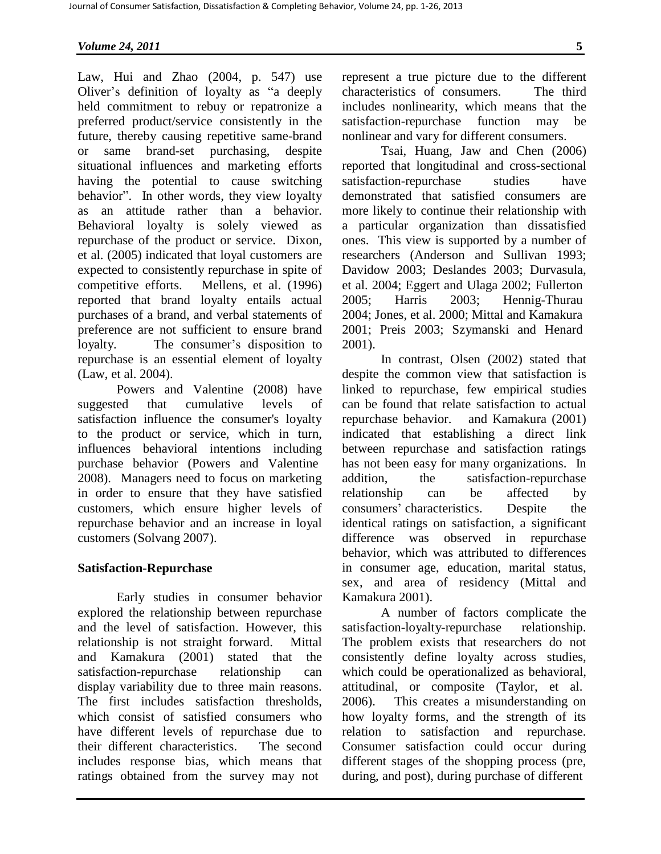Law, Hui and Zhao (2004, p. 547) use Oliver's definition of loyalty as "a deeply held commitment to rebuy or repatronize a preferred product/service consistently in the future, thereby causing repetitive same-brand or same brand-set purchasing, despite situational influences and marketing efforts having the potential to cause switching behavior". In other words, they view loyalty as an attitude rather than a behavior. Behavioral loyalty is solely viewed as repurchase of the product or service. Dixon, et al. (2005) indicated that loyal customers are expected to consistently repurchase in spite of competitive efforts. Mellens, et al. (1996) reported that brand loyalty entails actual purchases of a brand, and verbal statements of preference are not sufficient to ensure brand loyalty. The consumer's disposition to repurchase is an essential element of loyalty (Law, et al. 2004).

Powers and Valentine (2008) have suggested that cumulative levels of satisfaction influence the consumer's loyalty to the product or service, which in turn, influences behavioral intentions including purchase behavior (Powers and Valentine 2008). Managers need to focus on marketing in order to ensure that they have satisfied customers, which ensure higher levels of repurchase behavior and an increase in loyal customers (Solvang 2007).

### **Satisfaction-Repurchase**

Early studies in consumer behavior explored the relationship between repurchase and the level of satisfaction. However, this relationship is not straight forward. Mittal and Kamakura (2001) stated that the satisfaction-repurchase relationship can display variability due to three main reasons. The first includes satisfaction thresholds, which consist of satisfied consumers who have different levels of repurchase due to their different characteristics. The second includes response bias, which means that ratings obtained from the survey may not

represent a true picture due to the different characteristics of consumers. The third includes nonlinearity, which means that the satisfaction-repurchase function may be nonlinear and vary for different consumers.

Tsai, Huang, Jaw and Chen (2006) reported that longitudinal and cross-sectional satisfaction-repurchase studies have demonstrated that satisfied consumers are more likely to continue their relationship with a particular organization than dissatisfied ones. This view is supported by a number of researchers (Anderson and Sullivan 1993; Davidow 2003; Deslandes 2003; Durvasula, et al. 2004; Eggert and Ulaga 2002; Fullerton 2005; Harris 2003; Hennig-Thurau 2004; Jones, et al. 2000; Mittal and Kamakura 2001; Preis 2003; Szymanski and Henard 2001).

In contrast, Olsen (2002) stated that despite the common view that satisfaction is linked to repurchase, few empirical studies can be found that relate satisfaction to actual repurchase behavior. and Kamakura (2001) indicated that establishing a direct link between repurchase and satisfaction ratings has not been easy for many organizations. In addition, the satisfaction-repurchase relationship can be affected by consumers' characteristics. Despite the identical ratings on satisfaction, a significant difference was observed in repurchase behavior, which was attributed to differences in consumer age, education, marital status, sex, and area of residency (Mittal and Kamakura 2001).

A number of factors complicate the satisfaction-loyalty-repurchase relationship. The problem exists that researchers do not consistently define loyalty across studies, which could be operationalized as behavioral, attitudinal, or composite (Taylor, et al. 2006). This creates a misunderstanding on how loyalty forms, and the strength of its relation to satisfaction and repurchase. Consumer satisfaction could occur during different stages of the shopping process (pre, during, and post), during purchase of different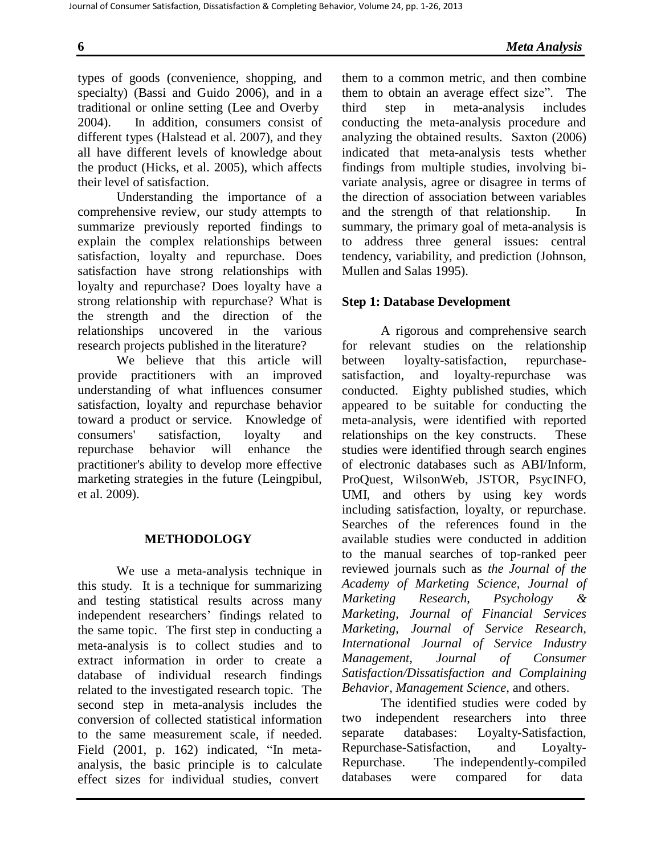types of goods (convenience, shopping, and specialty) (Bassi and Guido 2006), and in a traditional or online setting (Lee and Overby 2004). In addition, consumers consist of different types (Halstead et al. 2007), and they all have different levels of knowledge about the product (Hicks, et al. 2005), which affects their level of satisfaction.

Understanding the importance of a comprehensive review, our study attempts to summarize previously reported findings to explain the complex relationships between satisfaction, loyalty and repurchase. Does satisfaction have strong relationships with loyalty and repurchase? Does loyalty have a strong relationship with repurchase? What is the strength and the direction of the relationships uncovered in the various research projects published in the literature?

We believe that this article will provide practitioners with an improved understanding of what influences consumer satisfaction, loyalty and repurchase behavior toward a product or service. Knowledge of consumers' satisfaction, loyalty and repurchase behavior will enhance the practitioner's ability to develop more effective marketing strategies in the future (Leingpibul, et al. 2009).

# **METHODOLOGY**

We use a meta-analysis technique in this study. It is a technique for summarizing and testing statistical results across many independent researchers' findings related to the same topic. The first step in conducting a meta-analysis is to collect studies and to extract information in order to create a database of individual research findings related to the investigated research topic. The second step in meta-analysis includes the conversion of collected statistical information to the same measurement scale, if needed. Field (2001, p. 162) indicated, "In metaanalysis, the basic principle is to calculate effect sizes for individual studies, convert

them to a common metric, and then combine them to obtain an average effect size". The third step in meta-analysis includes conducting the meta-analysis procedure and analyzing the obtained results. Saxton (2006) indicated that meta-analysis tests whether findings from multiple studies, involving bivariate analysis, agree or disagree in terms of the direction of association between variables and the strength of that relationship. In summary, the primary goal of meta-analysis is to address three general issues: central tendency, variability, and prediction (Johnson, Mullen and Salas 1995).

# **Step 1: Database Development**

A rigorous and comprehensive search for relevant studies on the relationship between loyalty-satisfaction, repurchasesatisfaction, and loyalty-repurchase was conducted. Eighty published studies, which appeared to be suitable for conducting the meta-analysis, were identified with reported relationships on the key constructs. These studies were identified through search engines of electronic databases such as ABI/Inform, ProQuest, WilsonWeb, JSTOR, PsycINFO, UMI, and others by using key words including satisfaction, loyalty, or repurchase. Searches of the references found in the available studies were conducted in addition to the manual searches of top-ranked peer reviewed journals such as *the Journal of the Academy of Marketing Science, Journal of Marketing Research*, *Psychology & Marketing, Journal of Financial Services Marketing, Journal of Service Research, International Journal of Service Industry Management, Journal of Consumer Satisfaction/Dissatisfaction and Complaining Behavior, Management Science*, and others.

The identified studies were coded by two independent researchers into three separate databases: Loyalty-Satisfaction, Repurchase-Satisfaction, and Loyalty-Repurchase. The independently-compiled databases were compared for data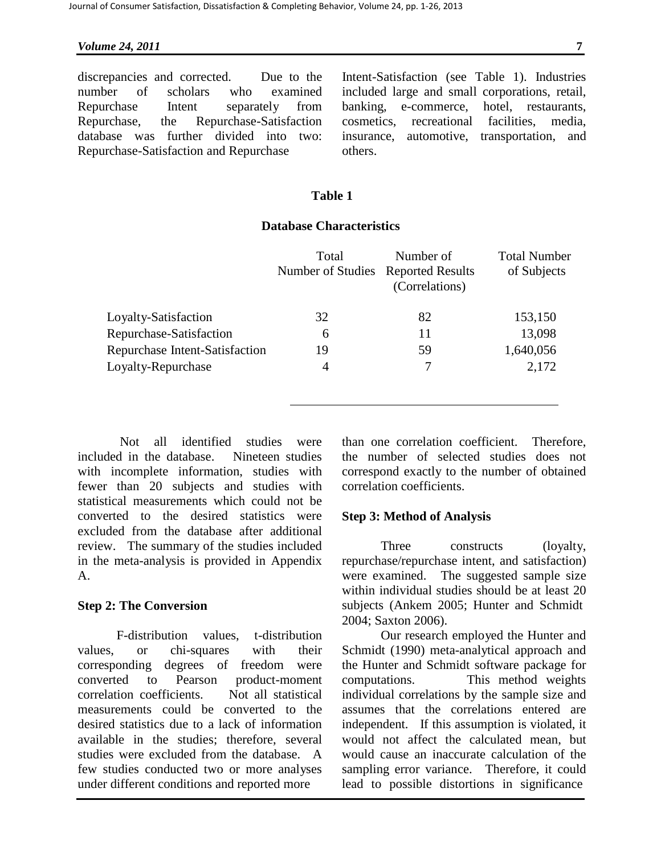discrepancies and corrected. Due to the number of scholars who examined Repurchase Intent separately from Repurchase, the Repurchase-Satisfaction database was further divided into two: Repurchase-Satisfaction and Repurchase

Intent-Satisfaction (see Table 1). Industries included large and small corporations, retail, banking, e-commerce, hotel, restaurants, cosmetics, recreational facilities, media, insurance, automotive, transportation, and others.

# **Table 1**

# **Database Characteristics**

|    | (Correlations) | of Subjects                        |
|----|----------------|------------------------------------|
| 32 | 82             | 153,150                            |
| 6  | 11             | 13,098                             |
| 19 | 59             | 1,640,056                          |
| 4  |                | 2,172                              |
|    |                | Number of Studies Reported Results |

Not all identified studies were included in the database. Nineteen studies with incomplete information, studies with fewer than 20 subjects and studies with statistical measurements which could not be converted to the desired statistics were excluded from the database after additional review. The summary of the studies included in the meta-analysis is provided in Appendix A.

# **Step 2: The Conversion**

F-distribution values, t-distribution values, or chi-squares with their corresponding degrees of freedom were converted to Pearson product-moment correlation coefficients. Not all statistical measurements could be converted to the desired statistics due to a lack of information available in the studies; therefore, several studies were excluded from the database. A few studies conducted two or more analyses under different conditions and reported more

than one correlation coefficient. Therefore, the number of selected studies does not correspond exactly to the number of obtained correlation coefficients.

# **Step 3: Method of Analysis**

Three constructs (loyalty, repurchase/repurchase intent, and satisfaction) were examined. The suggested sample size within individual studies should be at least 20 subjects (Ankem 2005; Hunter and Schmidt 2004; Saxton 2006).

Our research employed the Hunter and Schmidt (1990) meta-analytical approach and the Hunter and Schmidt software package for computations. This method weights individual correlations by the sample size and assumes that the correlations entered are independent. If this assumption is violated, it would not affect the calculated mean, but would cause an inaccurate calculation of the sampling error variance. Therefore, it could lead to possible distortions in significance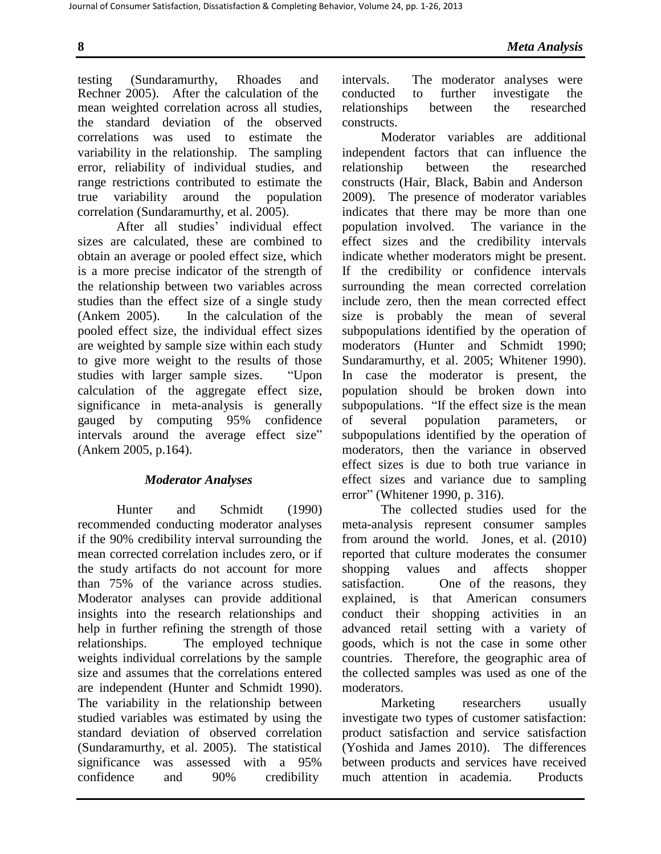Journal of Consumer Satisfaction, Dissatisfaction & Completing Behavior, Volume 24, pp. 1-26, 2013

testing (Sundaramurthy, Rhoades and intervals. The moderator analyses were Rechner 2005). After the calculation of the mean weighted correlation across all studies, the standard deviation of the observed correlations was used to estimate the variability in the relationship. The sampling error, reliability of individual studies, and range restrictions contributed to estimate the true variability around the population correlation (Sundaramurthy, et al. 2005).

After all studies' individual effect sizes are calculated, these are combined to obtain an average or pooled effect size, which is a more precise indicator of the strength of the relationship between two variables across studies than the effect size of a single study (Ankem 2005). In the calculation of the pooled effect size, the individual effect sizes are weighted by sample size within each study to give more weight to the results of those studies with larger sample sizes. "Upon calculation of the aggregate effect size, significance in meta-analysis is generally gauged by computing 95% confidence intervals around the average effect size" (Ankem 2005, p.164).

# *Moderator Analyses*

Hunter and Schmidt (1990) recommended conducting moderator analyses if the 90% credibility interval surrounding the mean corrected correlation includes zero, or if the study artifacts do not account for more than 75% of the variance across studies. Moderator analyses can provide additional insights into the research relationships and help in further refining the strength of those relationships. The employed technique weights individual correlations by the sample size and assumes that the correlations entered are independent (Hunter and Schmidt 1990). The variability in the relationship between studied variables was estimated by using the standard deviation of observed correlation (Sundaramurthy, et al. 2005). The statistical significance was assessed with a 95% confidence and 90% credibility

conducted to further investigate the relationships between the researched constructs.

Moderator variables are additional independent factors that can influence the relationship between the researched constructs (Hair, Black, Babin and Anderson 2009). The presence of moderator variables indicates that there may be more than one population involved. The variance in the effect sizes and the credibility intervals indicate whether moderators might be present. If the credibility or confidence intervals surrounding the mean corrected correlation include zero, then the mean corrected effect size is probably the mean of several subpopulations identified by the operation of moderators (Hunter and Schmidt 1990; Sundaramurthy, et al. 2005; Whitener 1990). In case the moderator is present, the population should be broken down into subpopulations. "If the effect size is the mean of several population parameters, or subpopulations identified by the operation of moderators, then the variance in observed effect sizes is due to both true variance in effect sizes and variance due to sampling error" (Whitener 1990, p. 316).

The collected studies used for the meta-analysis represent consumer samples from around the world. Jones, et al. (2010) reported that culture moderates the consumer shopping values and affects shopper satisfaction. One of the reasons, they explained, is that American consumers conduct their shopping activities in an advanced retail setting with a variety of goods, which is not the case in some other countries. Therefore, the geographic area of the collected samples was used as one of the moderators.

Marketing researchers usually investigate two types of customer satisfaction: product satisfaction and service satisfaction (Yoshida and James 2010). The differences between products and services have received much attention in academia. Products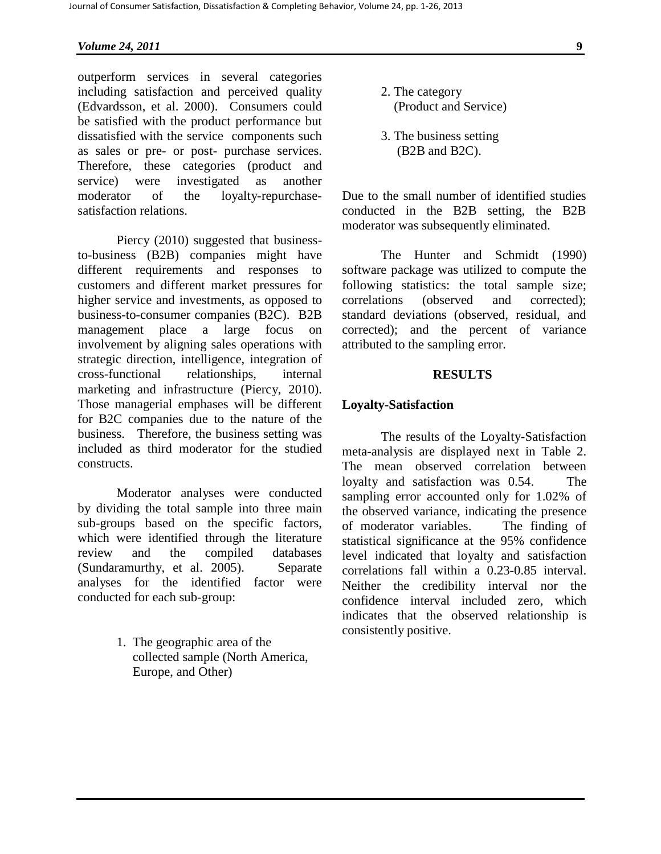outperform services in several categories including satisfaction and perceived quality (Edvardsson, et al. 2000). Consumers could be satisfied with the product performance but dissatisfied with the service components such as sales or pre- or post- purchase services. Therefore, these categories (product and service) were investigated as another moderator of the loyalty-repurchasesatisfaction relations.

Piercy (2010) suggested that businessto-business (B2B) companies might have different requirements and responses to customers and different market pressures for higher service and investments, as opposed to business-to-consumer companies (B2C). B2B management place a large focus on involvement by aligning sales operations with strategic direction, intelligence, integration of cross-functional relationships, internal marketing and infrastructure (Piercy, 2010). Those managerial emphases will be different for B2C companies due to the nature of the business. Therefore, the business setting was included as third moderator for the studied constructs.

Moderator analyses were conducted by dividing the total sample into three main sub-groups based on the specific factors, which were identified through the literature review and the compiled databases (Sundaramurthy, et al. 2005). Separate analyses for the identified factor were conducted for each sub-group:

> 1. The geographic area of the collected sample (North America, Europe, and Other)

- 2. The category (Product and Service)
- 3. The business setting (B2B and B2C).

Due to the small number of identified studies conducted in the B2B setting, the B2B moderator was subsequently eliminated.

The Hunter and Schmidt (1990) software package was utilized to compute the following statistics: the total sample size; correlations (observed and corrected); standard deviations (observed, residual, and corrected); and the percent of variance attributed to the sampling error.

### **RESULTS**

### **Loyalty-Satisfaction**

The results of the Loyalty-Satisfaction meta-analysis are displayed next in Table 2. The mean observed correlation between loyalty and satisfaction was 0.54. The sampling error accounted only for 1.02% of the observed variance, indicating the presence of moderator variables. The finding of statistical significance at the 95% confidence level indicated that loyalty and satisfaction correlations fall within a 0.23-0.85 interval. Neither the credibility interval nor the confidence interval included zero, which indicates that the observed relationship is consistently positive.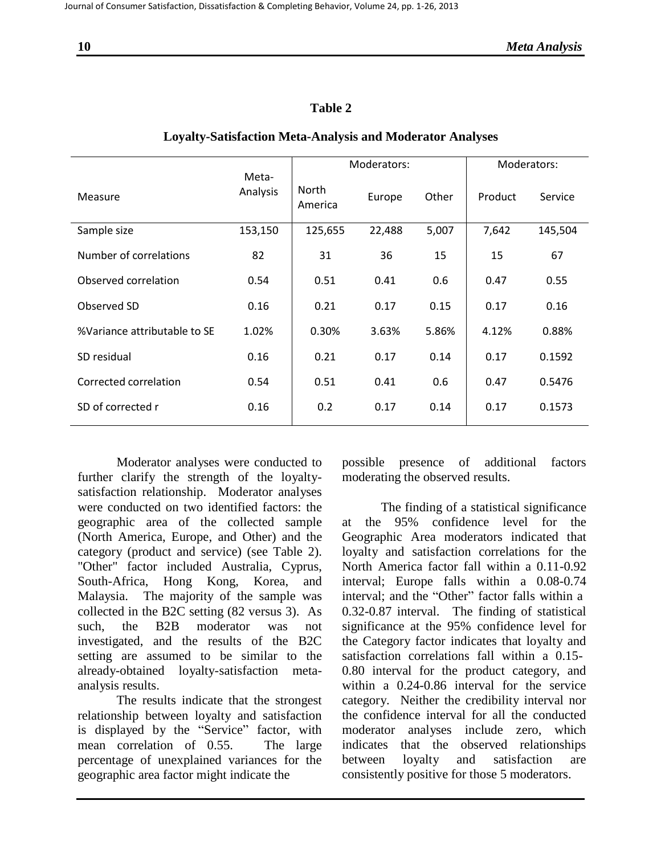# **Table 2**

|                              |                   | Moderators:      |        |       | Moderators: |         |
|------------------------------|-------------------|------------------|--------|-------|-------------|---------|
| Measure                      | Meta-<br>Analysis | North<br>America | Europe | Other | Product     | Service |
| Sample size                  | 153,150           | 125,655          | 22,488 | 5,007 | 7,642       | 145,504 |
| Number of correlations       | 82                | 31               | 36     | 15    | 15          | 67      |
| Observed correlation         | 0.54              | 0.51             | 0.41   | 0.6   | 0.47        | 0.55    |
| Observed SD                  | 0.16              | 0.21             | 0.17   | 0.15  | 0.17        | 0.16    |
| %Variance attributable to SE | 1.02%             | 0.30%            | 3.63%  | 5.86% | 4.12%       | 0.88%   |
| SD residual                  | 0.16              | 0.21             | 0.17   | 0.14  | 0.17        | 0.1592  |
| Corrected correlation        | 0.54              | 0.51             | 0.41   | 0.6   | 0.47        | 0.5476  |
| SD of corrected r            | 0.16              | 0.2              | 0.17   | 0.14  | 0.17        | 0.1573  |

### **Loyalty-Satisfaction Meta-Analysis and Moderator Analyses**

Moderator analyses were conducted to further clarify the strength of the loyaltysatisfaction relationship. Moderator analyses were conducted on two identified factors: the geographic area of the collected sample (North America, Europe, and Other) and the category (product and service) (see Table 2). "Other" factor included Australia, Cyprus, South-Africa, Hong Kong, Korea, and Malaysia. The majority of the sample was collected in the B2C setting (82 versus 3). As such, the B2B moderator was not investigated, and the results of the B2C setting are assumed to be similar to the already-obtained loyalty-satisfaction metaanalysis results.

The results indicate that the strongest relationship between loyalty and satisfaction is displayed by the "Service" factor, with mean correlation of 0.55. The large percentage of unexplained variances for the geographic area factor might indicate the

possible presence of additional factors moderating the observed results.

The finding of a statistical significance at the 95% confidence level for the Geographic Area moderators indicated that loyalty and satisfaction correlations for the North America factor fall within a 0.11-0.92 interval; Europe falls within a 0.08-0.74 interval; and the "Other" factor falls within a 0.32-0.87 interval. The finding of statistical significance at the 95% confidence level for the Category factor indicates that loyalty and satisfaction correlations fall within a 0.15- 0.80 interval for the product category, and within a 0.24-0.86 interval for the service category. Neither the credibility interval nor the confidence interval for all the conducted moderator analyses include zero, which indicates that the observed relationships between loyalty and satisfaction are consistently positive for those 5 moderators.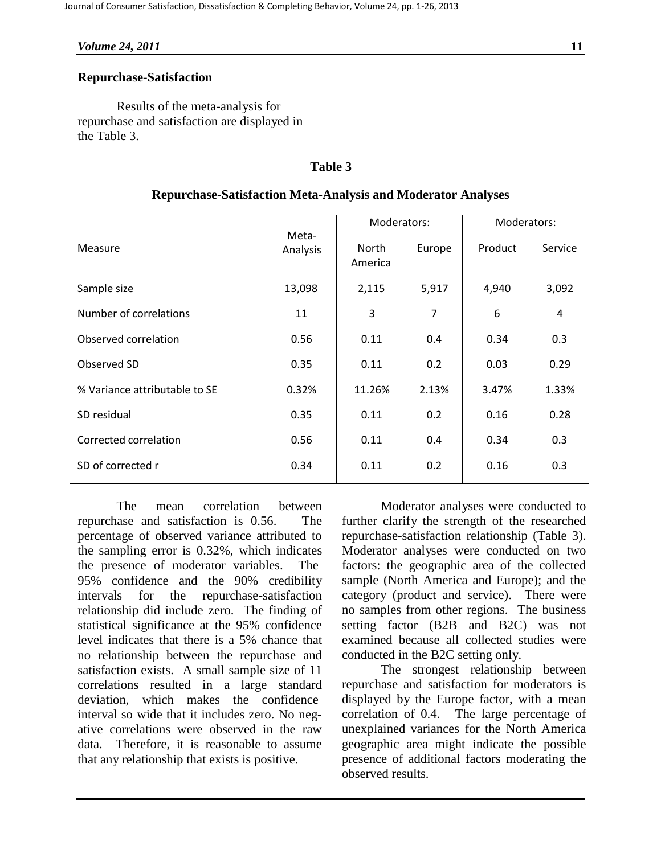# **Repurchase-Satisfaction**

Results of the meta-analysis for repurchase and satisfaction are displayed in the Table 3.

# **Table 3**

# **Repurchase-Satisfaction Meta-Analysis and Moderator Analyses**

|                               |                   | Moderators:      |        | Moderators: |                |
|-------------------------------|-------------------|------------------|--------|-------------|----------------|
| Measure                       | Meta-<br>Analysis | North<br>America | Europe | Product     | Service        |
| Sample size                   | 13,098            | 2,115            | 5,917  | 4,940       | 3,092          |
| Number of correlations        | 11                | 3                | 7      | 6           | $\overline{4}$ |
| Observed correlation          | 0.56              | 0.11             | 0.4    | 0.34        | 0.3            |
| Observed SD                   | 0.35              | 0.11             | 0.2    | 0.03        | 0.29           |
| % Variance attributable to SE | 0.32%             | 11.26%           | 2.13%  | 3.47%       | 1.33%          |
| SD residual                   | 0.35              | 0.11             | 0.2    | 0.16        | 0.28           |
| Corrected correlation         | 0.56              | 0.11             | 0.4    | 0.34        | 0.3            |
| SD of corrected r             | 0.34              | 0.11             | 0.2    | 0.16        | 0.3            |

The mean correlation between repurchase and satisfaction is 0.56. The percentage of observed variance attributed to the sampling error is 0.32%, which indicates the presence of moderator variables. The 95% confidence and the 90% credibility intervals for the repurchase-satisfaction relationship did include zero. The finding of statistical significance at the 95% confidence level indicates that there is a 5% chance that no relationship between the repurchase and satisfaction exists. A small sample size of 11 correlations resulted in a large standard deviation, which makes the confidence interval so wide that it includes zero. No negative correlations were observed in the raw data. Therefore, it is reasonable to assume that any relationship that exists is positive.

Moderator analyses were conducted to further clarify the strength of the researched repurchase-satisfaction relationship (Table 3). Moderator analyses were conducted on two factors: the geographic area of the collected sample (North America and Europe); and the category (product and service). There were no samples from other regions. The business setting factor (B2B and B2C) was not examined because all collected studies were conducted in the B2C setting only.

The strongest relationship between repurchase and satisfaction for moderators is displayed by the Europe factor, with a mean correlation of 0.4. The large percentage of unexplained variances for the North America geographic area might indicate the possible presence of additional factors moderating the observed results.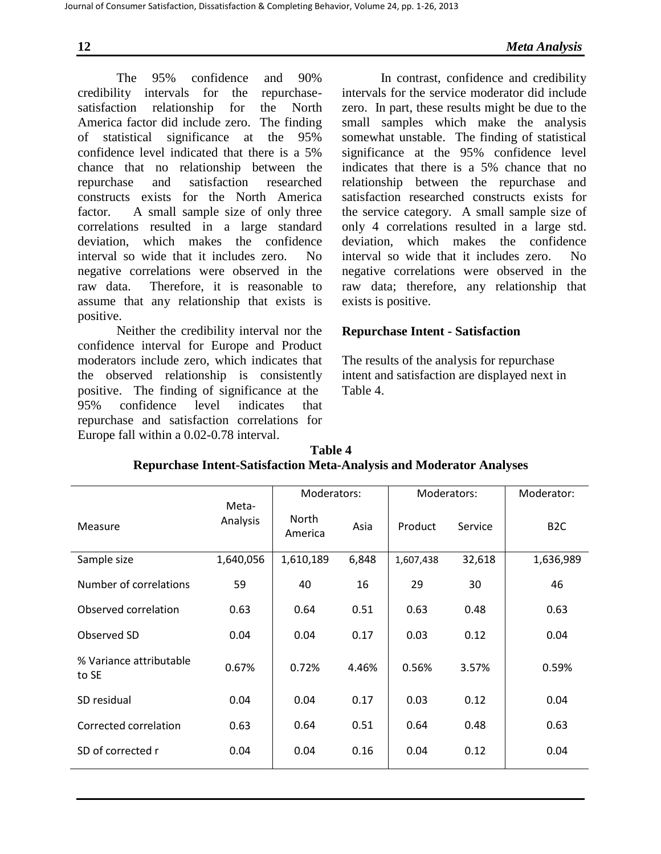The 95% confidence and 90% credibility intervals for the repurchasesatisfaction relationship for the North America factor did include zero. The finding of statistical significance at the 95% confidence level indicated that there is a 5% chance that no relationship between the repurchase and satisfaction researched constructs exists for the North America factor. A small sample size of only three correlations resulted in a large standard deviation, which makes the confidence interval so wide that it includes zero. No negative correlations were observed in the raw data. Therefore, it is reasonable to assume that any relationship that exists is positive.

Neither the credibility interval nor the confidence interval for Europe and Product moderators include zero, which indicates that the observed relationship is consistently positive. The finding of significance at the 95% confidence level indicates that repurchase and satisfaction correlations for Europe fall within a 0.02-0.78 interval.

In contrast, confidence and credibility intervals for the service moderator did include zero. In part, these results might be due to the small samples which make the analysis somewhat unstable. The finding of statistical significance at the 95% confidence level indicates that there is a 5% chance that no relationship between the repurchase and satisfaction researched constructs exists for the service category. A small sample size of only 4 correlations resulted in a large std. deviation, which makes the confidence interval so wide that it includes zero. No negative correlations were observed in the raw data; therefore, any relationship that exists is positive.

# **Repurchase Intent - Satisfaction**

The results of the analysis for repurchase intent and satisfaction are displayed next in Table 4.

| Table 4                                                                    |
|----------------------------------------------------------------------------|
| <b>Repurchase Intent-Satisfaction Meta-Analysis and Moderator Analyses</b> |

|                                  |                   | Moderators:      |       | Moderators: |         | Moderator:      |
|----------------------------------|-------------------|------------------|-------|-------------|---------|-----------------|
| Measure                          | Meta-<br>Analysis | North<br>America | Asia  | Product     | Service | B <sub>2C</sub> |
| Sample size                      | 1,640,056         | 1,610,189        | 6,848 | 1,607,438   | 32,618  | 1,636,989       |
| Number of correlations           | 59                | 40               | 16    | 29          | 30      | 46              |
| Observed correlation             | 0.63              | 0.64             | 0.51  | 0.63        | 0.48    | 0.63            |
| Observed SD                      | 0.04              | 0.04             | 0.17  | 0.03        | 0.12    | 0.04            |
| % Variance attributable<br>to SE | 0.67%             | 0.72%            | 4.46% | 0.56%       | 3.57%   | 0.59%           |
| SD residual                      | 0.04              | 0.04             | 0.17  | 0.03        | 0.12    | 0.04            |
| Corrected correlation            | 0.63              | 0.64             | 0.51  | 0.64        | 0.48    | 0.63            |
| SD of corrected r                | 0.04              | 0.04             | 0.16  | 0.04        | 0.12    | 0.04            |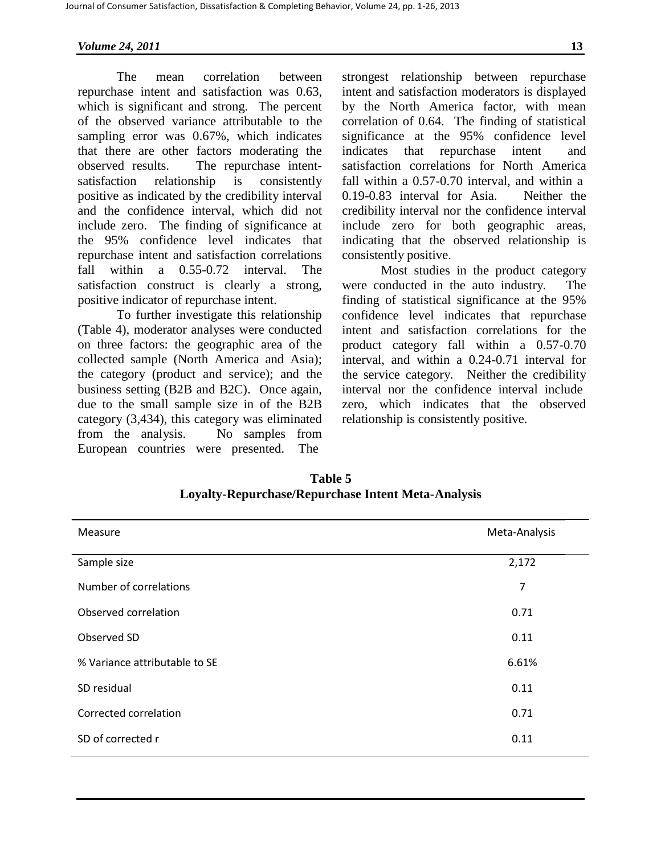The mean correlation between repurchase intent and satisfaction was 0.63, which is significant and strong. The percent of the observed variance attributable to the sampling error was 0.67%, which indicates that there are other factors moderating the observed results. The repurchase intentsatisfaction relationship is consistently positive as indicated by the credibility interval and the confidence interval, which did not include zero. The finding of significance at the 95% confidence level indicates that repurchase intent and satisfaction correlations fall within a 0.55-0.72 interval. The satisfaction construct is clearly a strong, positive indicator of repurchase intent.

To further investigate this relationship (Table 4), moderator analyses were conducted on three factors: the geographic area of the collected sample (North America and Asia); the category (product and service); and the business setting (B2B and B2C). Once again, due to the small sample size in of the B2B category (3,434), this category was eliminated from the analysis. No samples from European countries were presented. The

strongest relationship between repurchase intent and satisfaction moderators is displayed by the North America factor, with mean correlation of 0.64. The finding of statistical significance at the 95% confidence level indicates that repurchase intent and satisfaction correlations for North America fall within a 0.57-0.70 interval, and within a 0.19-0.83 interval for Asia. Neither the credibility interval nor the confidence interval include zero for both geographic areas, indicating that the observed relationship is consistently positive.

Most studies in the product category were conducted in the auto industry. The finding of statistical significance at the 95% confidence level indicates that repurchase intent and satisfaction correlations for the product category fall within a 0.57-0.70 interval, and within a 0.24-0.71 interval for the service category. Neither the credibility interval nor the confidence interval include zero, which indicates that the observed relationship is consistently positive.

| Measure                       | Meta-Analysis  |
|-------------------------------|----------------|
| Sample size                   | 2,172          |
| Number of correlations        | $\overline{7}$ |
| Observed correlation          | 0.71           |
| Observed SD                   | 0.11           |
| % Variance attributable to SE | 6.61%          |
| SD residual                   | 0.11           |
| Corrected correlation         | 0.71           |
| SD of corrected r             | 0.11           |

**Table 5 Loyalty-Repurchase/Repurchase Intent Meta-Analysis**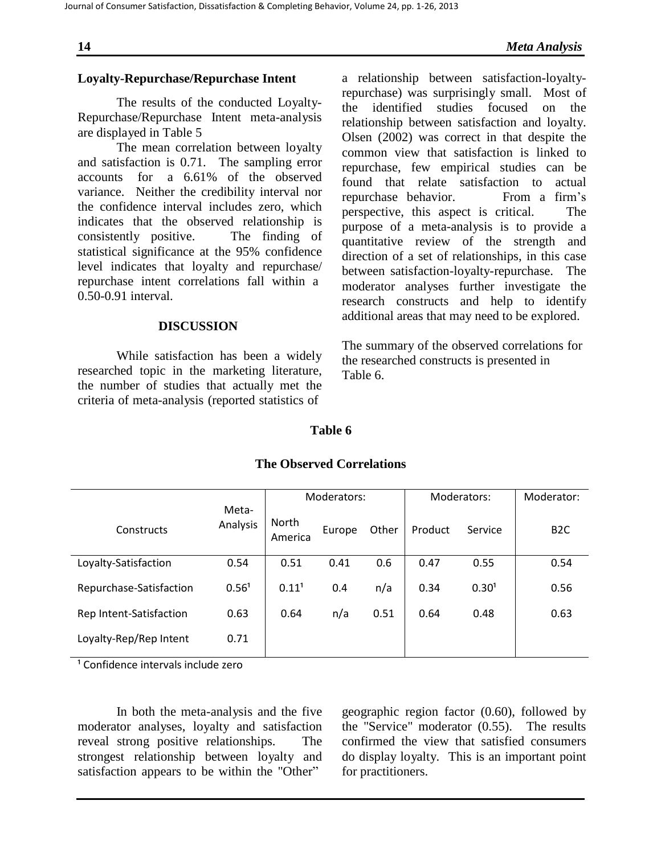# **Loyalty-Repurchase/Repurchase Intent**

The results of the conducted Loyalty-Repurchase/Repurchase Intent meta-analysis are displayed in Table 5

The mean correlation between loyalty and satisfaction is 0.71. The sampling error accounts for a 6.61% of the observed variance. Neither the credibility interval nor the confidence interval includes zero, which indicates that the observed relationship is consistently positive. The finding of statistical significance at the 95% confidence level indicates that loyalty and repurchase/ repurchase intent correlations fall within a 0.50-0.91 interval.

### **DISCUSSION**

While satisfaction has been a widely researched topic in the marketing literature, the number of studies that actually met the criteria of meta-analysis (reported statistics of

a relationship between satisfaction-loyaltyrepurchase) was surprisingly small. Most of the identified studies focused on the relationship between satisfaction and loyalty. Olsen (2002) was correct in that despite the common view that satisfaction is linked to repurchase, few empirical studies can be found that relate satisfaction to actual repurchase behavior. From a firm's perspective, this aspect is critical. The purpose of a meta-analysis is to provide a quantitative review of the strength and direction of a set of relationships, in this case between satisfaction-loyalty-repurchase. The moderator analyses further investigate the research constructs and help to identify additional areas that may need to be explored.

The summary of the observed correlations for the researched constructs is presented in Table 6.

### **Table 6**

|                         |                   |                         | Moderators: |       |         | Moderators:       | Moderator:       |
|-------------------------|-------------------|-------------------------|-------------|-------|---------|-------------------|------------------|
| Constructs              | Meta-<br>Analysis | <b>North</b><br>America | Europe      | Other | Product | Service           | B <sub>2</sub> C |
| Loyalty-Satisfaction    | 0.54              | 0.51                    | 0.41        | 0.6   | 0.47    | 0.55              | 0.54             |
| Repurchase-Satisfaction | 0.56 <sup>1</sup> | 0.11 <sup>1</sup>       | 0.4         | n/a   | 0.34    | 0.30 <sup>1</sup> | 0.56             |
| Rep Intent-Satisfaction | 0.63              | 0.64                    | n/a         | 0.51  | 0.64    | 0.48              | 0.63             |
| Loyalty-Rep/Rep Intent  | 0.71              |                         |             |       |         |                   |                  |

# **The Observed Correlations**

<sup>1</sup> Confidence intervals include zero

In both the meta-analysis and the five moderator analyses, loyalty and satisfaction reveal strong positive relationships. The strongest relationship between loyalty and satisfaction appears to be within the "Other"

geographic region factor (0.60), followed by the "Service" moderator (0.55). The results confirmed the view that satisfied consumers do display loyalty. This is an important point for practitioners.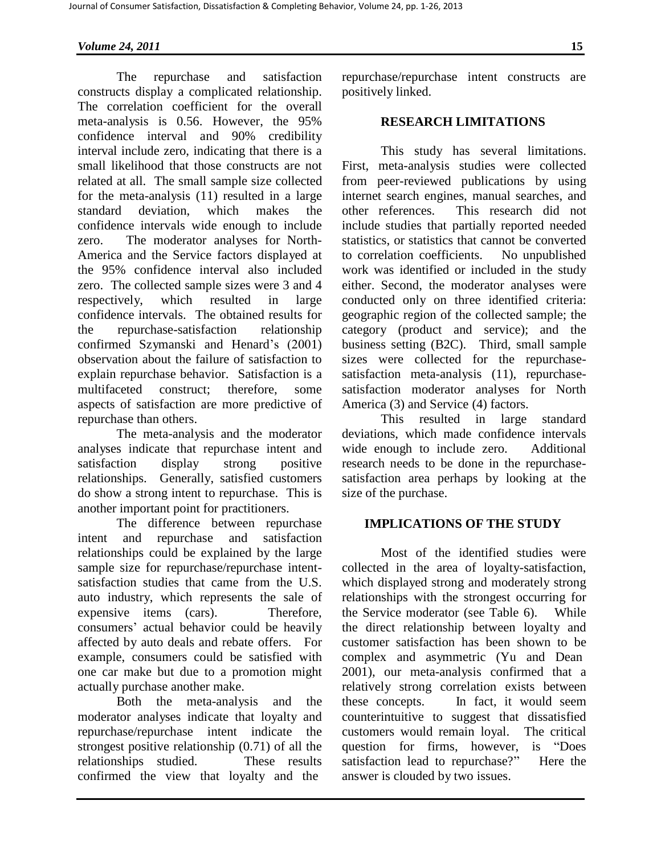The repurchase and satisfaction constructs display a complicated relationship. The correlation coefficient for the overall meta-analysis is 0.56. However, the 95% confidence interval and 90% credibility interval include zero, indicating that there is a small likelihood that those constructs are not related at all. The small sample size collected for the meta-analysis (11) resulted in a large standard deviation, which makes the confidence intervals wide enough to include zero. The moderator analyses for North-America and the Service factors displayed at the 95% confidence interval also included zero. The collected sample sizes were 3 and 4 respectively, which resulted in large confidence intervals. The obtained results for the repurchase-satisfaction relationship confirmed Szymanski and Henard's (2001) observation about the failure of satisfaction to explain repurchase behavior. Satisfaction is a multifaceted construct; therefore, some aspects of satisfaction are more predictive of repurchase than others.

The meta-analysis and the moderator analyses indicate that repurchase intent and satisfaction display strong positive relationships. Generally, satisfied customers do show a strong intent to repurchase. This is another important point for practitioners.

The difference between repurchase intent and repurchase and satisfaction relationships could be explained by the large sample size for repurchase/repurchase intentsatisfaction studies that came from the U.S. auto industry, which represents the sale of expensive items (cars). Therefore, consumers' actual behavior could be heavily affected by auto deals and rebate offers. For example, consumers could be satisfied with one car make but due to a promotion might actually purchase another make.

Both the meta-analysis and the moderator analyses indicate that loyalty and repurchase/repurchase intent indicate the strongest positive relationship (0.71) of all the relationships studied. These results confirmed the view that loyalty and the

repurchase/repurchase intent constructs are positively linked.

### **RESEARCH LIMITATIONS**

This study has several limitations. First, meta-analysis studies were collected from peer-reviewed publications by using internet search engines, manual searches, and other references. This research did not include studies that partially reported needed statistics, or statistics that cannot be converted to correlation coefficients. No unpublished work was identified or included in the study either. Second, the moderator analyses were conducted only on three identified criteria: geographic region of the collected sample; the category (product and service); and the business setting (B2C). Third, small sample sizes were collected for the repurchasesatisfaction meta-analysis (11), repurchasesatisfaction moderator analyses for North America (3) and Service (4) factors.

This resulted in large standard deviations, which made confidence intervals wide enough to include zero. Additional research needs to be done in the repurchasesatisfaction area perhaps by looking at the size of the purchase.

### **IMPLICATIONS OF THE STUDY**

Most of the identified studies were collected in the area of loyalty-satisfaction, which displayed strong and moderately strong relationships with the strongest occurring for the Service moderator (see Table 6). While the direct relationship between loyalty and customer satisfaction has been shown to be complex and asymmetric (Yu and Dean 2001), our meta-analysis confirmed that a relatively strong correlation exists between these concepts. In fact, it would seem counterintuitive to suggest that dissatisfied customers would remain loyal. The critical question for firms, however, is "Does satisfaction lead to repurchase?" Here the answer is clouded by two issues.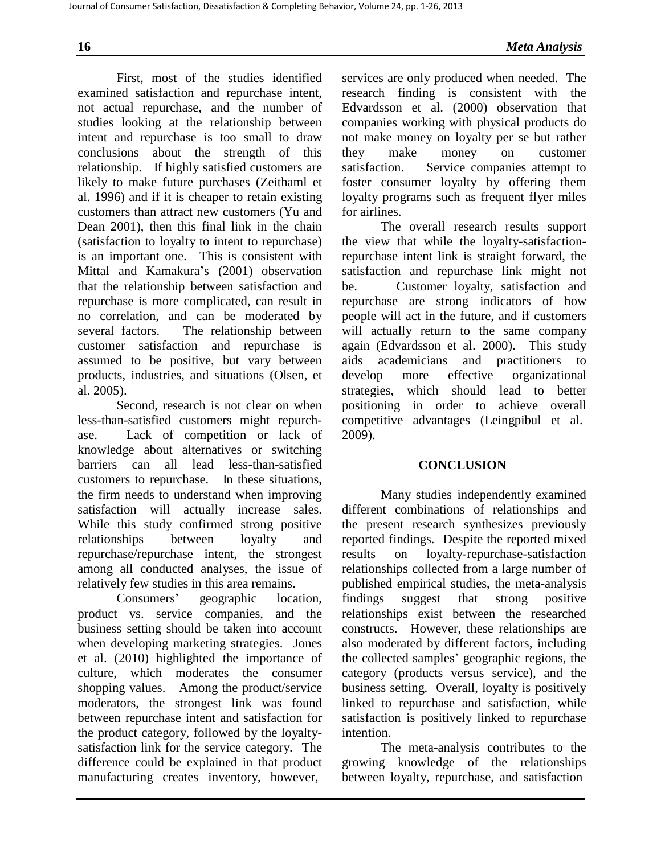First, most of the studies identified examined satisfaction and repurchase intent, not actual repurchase, and the number of studies looking at the relationship between intent and repurchase is too small to draw conclusions about the strength of this relationship. If highly satisfied customers are likely to make future purchases (Zeithaml et al. 1996) and if it is cheaper to retain existing customers than attract new customers (Yu and Dean 2001), then this final link in the chain (satisfaction to loyalty to intent to repurchase) is an important one. This is consistent with Mittal and Kamakura's (2001) observation that the relationship between satisfaction and repurchase is more complicated, can result in no correlation, and can be moderated by several factors. The relationship between customer satisfaction and repurchase is assumed to be positive, but vary between products, industries, and situations (Olsen, et al. 2005).

Second, research is not clear on when less-than-satisfied customers might repurchase. Lack of competition or lack of knowledge about alternatives or switching barriers can all lead less-than-satisfied customers to repurchase. In these situations, the firm needs to understand when improving satisfaction will actually increase sales. While this study confirmed strong positive relationships between loyalty and repurchase/repurchase intent, the strongest among all conducted analyses, the issue of relatively few studies in this area remains.

Consumers' geographic location, product vs. service companies, and the business setting should be taken into account when developing marketing strategies. Jones et al. (2010) highlighted the importance of culture, which moderates the consumer shopping values. Among the product/service moderators, the strongest link was found between repurchase intent and satisfaction for the product category, followed by the loyaltysatisfaction link for the service category. The difference could be explained in that product manufacturing creates inventory, however,

services are only produced when needed. The research finding is consistent with the Edvardsson et al. (2000) observation that companies working with physical products do not make money on loyalty per se but rather they make money on customer satisfaction. Service companies attempt to foster consumer loyalty by offering them loyalty programs such as frequent flyer miles for airlines.

The overall research results support the view that while the loyalty-satisfactionrepurchase intent link is straight forward, the satisfaction and repurchase link might not be. Customer loyalty, satisfaction and repurchase are strong indicators of how people will act in the future, and if customers will actually return to the same company again (Edvardsson et al. 2000). This study aids academicians and practitioners to develop more effective organizational strategies, which should lead to better positioning in order to achieve overall competitive advantages (Leingpibul et al. 2009).

### **CONCLUSION**

Many studies independently examined different combinations of relationships and the present research synthesizes previously reported findings. Despite the reported mixed results on loyalty-repurchase-satisfaction relationships collected from a large number of published empirical studies, the meta-analysis findings suggest that strong positive relationships exist between the researched constructs. However, these relationships are also moderated by different factors, including the collected samples' geographic regions, the category (products versus service), and the business setting. Overall, loyalty is positively linked to repurchase and satisfaction, while satisfaction is positively linked to repurchase intention.

The meta-analysis contributes to the growing knowledge of the relationships between loyalty, repurchase, and satisfaction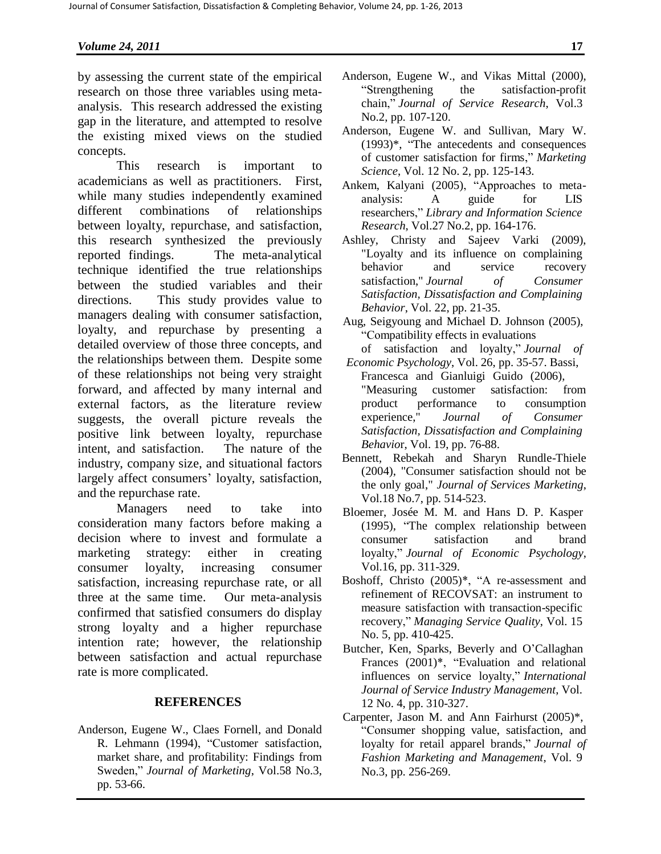by assessing the current state of the empirical research on those three variables using metaanalysis. This research addressed the existing gap in the literature, and attempted to resolve the existing mixed views on the studied concepts.

This research is important to academicians as well as practitioners. First, while many studies independently examined different combinations of relationships between loyalty, repurchase, and satisfaction, this research synthesized the previously reported findings. The meta-analytical technique identified the true relationships between the studied variables and their directions. This study provides value to managers dealing with consumer satisfaction, loyalty, and repurchase by presenting a detailed overview of those three concepts, and the relationships between them. Despite some of these relationships not being very straight forward, and affected by many internal and external factors, as the literature review suggests, the overall picture reveals the positive link between loyalty, repurchase intent, and satisfaction. The nature of the industry, company size, and situational factors largely affect consumers' loyalty, satisfaction, and the repurchase rate.

Managers need to take into consideration many factors before making a decision where to invest and formulate a marketing strategy: either in creating consumer loyalty, increasing consumer satisfaction, increasing repurchase rate, or all three at the same time. Our meta-analysis confirmed that satisfied consumers do display strong loyalty and a higher repurchase intention rate; however, the relationship between satisfaction and actual repurchase rate is more complicated.

### **REFERENCES**

Anderson, Eugene W., Claes Fornell, and Donald R. Lehmann (1994), "Customer satisfaction, market share, and profitability: Findings from Sweden," *Journal of Marketing*, Vol.58 No.3, pp. 53-66.

- Anderson, Eugene W., and Vikas Mittal (2000), "Strengthening the satisfaction-profit chain," *Journal of Service Research*, Vol.3 No.2, pp. 107-120.
- Anderson, Eugene W. and Sullivan, Mary W. (1993)\*, "The antecedents and consequences of customer satisfaction for firms," *Marketing Science*, Vol. 12 No. 2, pp. 125-143.
- Ankem, Kalyani (2005), "Approaches to metaanalysis: A guide for LIS researchers," *Library and Information Science Research*, Vol.27 No.2, pp. 164-176.
- Ashley, Christy and Sajeev Varki (2009), "Loyalty and its influence on complaining behavior and service recovery satisfaction," *Journal of Consumer Satisfaction, Dissatisfaction and Complaining Behavior*, Vol. 22, pp. 21-35.
- Aug, Seigyoung and Michael D. Johnson (2005), "Compatibility effects in evaluations
- of satisfaction and loyalty," *Journal of Economic Psychology*, Vol. 26, pp. 35-57. Bassi,
- Francesca and Gianluigi Guido (2006), "Measuring customer satisfaction: from product performance to consumption experience," *Journal of Consumer Satisfaction, Dissatisfaction and Complaining Behavio*r, Vol. 19, pp. 76-88.
- Bennett, Rebekah and Sharyn Rundle-Thiele (2004), "Consumer satisfaction should not be the only goal," *Journal of Services Marketing*, Vol.18 No.7, pp. 514-523.
- Bloemer, Josée M. M. and Hans D. P. Kasper (1995), "The complex relationship between consumer satisfaction and brand loyalty," *Journal of Economic Psychology*, Vol.16, pp. 311-329.
- Boshoff, Christo (2005)\*, "A re-assessment and refinement of RECOVSAT: an instrument to measure satisfaction with transaction-specific recovery," *Managing Service Quality*, Vol. 15 No. 5, pp. 410-425.
- Butcher, Ken, Sparks, Beverly and O'Callaghan Frances (2001)\*, "Evaluation and relational influences on service loyalty," *International Journal of Service Industry Management*, Vol. 12 No. 4, pp. 310-327.
- Carpenter, Jason M. and Ann Fairhurst (2005)\*, "Consumer shopping value, satisfaction, and loyalty for retail apparel brands," *Journal of Fashion Marketing and Management*, Vol. 9 No.3, pp. 256-269.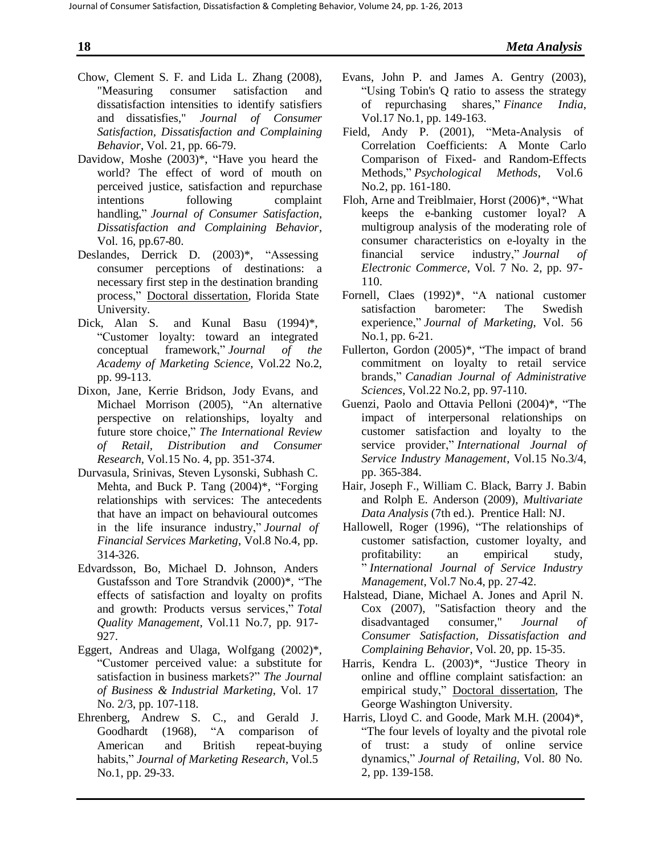- Chow, Clement S. F. and Lida L. Zhang (2008), "Measuring consumer satisfaction and dissatisfaction intensities to identify satisfiers and dissatisfies," *Journal of Consumer Satisfaction, Dissatisfaction and Complaining Behavior*, Vol. 21, pp. 66-79.
- Davidow, Moshe (2003)\*, "Have you heard the world? The effect of word of mouth on perceived justice, satisfaction and repurchase intentions following complaint handling," *Journal of Consumer Satisfaction, Dissatisfaction and Complaining Behavior*, Vol. 16, pp.67-80.
- Deslandes, Derrick D. (2003)\*, "Assessing consumer perceptions of destinations: a necessary first step in the destination branding process," Doctoral dissertation, Florida State University.
- Dick, Alan S. and Kunal Basu (1994)\*, "Customer loyalty: toward an integrated conceptual framework," *Journal of the Academy of Marketing Science*, Vol.22 No.2, pp. 99-113.
- Dixon, Jane, Kerrie Bridson, Jody Evans, and Michael Morrison (2005), "An alternative perspective on relationships, loyalty and future store choice," *The International Review of Retail, Distribution and Consumer Research*, Vol.15 No. 4, pp. 351-374.
- Durvasula, Srinivas, Steven Lysonski, Subhash C. Mehta, and Buck P. Tang (2004)\*, "Forging relationships with services: The antecedents that have an impact on behavioural outcomes in the life insurance industry," *Journal of Financial Services Marketing*, Vol.8 No.4, pp. 314-326.
- Edvardsson, Bo, Michael D. Johnson, Anders Gustafsson and Tore Strandvik (2000)\*, "The effects of satisfaction and loyalty on profits and growth: Products versus services," *Total Quality Management*, Vol.11 No.7, pp. 917- 927.
- Eggert, Andreas and Ulaga, Wolfgang (2002)\*, "Customer perceived value: a substitute for satisfaction in business markets?" *The Journal of Business & Industrial Marketing*, Vol. 17 No. 2/3, pp. 107-118.
- Ehrenberg, Andrew S. C., and Gerald J. Goodhardt (1968), "A comparison of American and British repeat-buying habits," *Journal of Marketing Research*, Vol.5 No.1, pp. 29-33.
- Evans, John P. and James A. Gentry (2003), "Using Tobin's Q ratio to assess the strategy of repurchasing shares," *Finance India*, Vol.17 No.1, pp. 149-163.
- Field, Andy P. (2001), "Meta-Analysis of Correlation Coefficients: A Monte Carlo Comparison of Fixed- and Random-Effects Methods," *Psychological Methods*, Vol.6 No.2, pp. 161-180.
- Floh, Arne and Treiblmaier, Horst (2006)\*, "What keeps the e-banking customer loyal? A multigroup analysis of the moderating role of consumer characteristics on e-loyalty in the financial service industry," *Journal of Electronic Commerce*, Vol. 7 No. 2, pp. 97- 110.
- Fornell, Claes (1992)\*, "A national customer satisfaction barometer: The Swedish experience," *Journal of Marketing*, Vol. 56 No.1, pp. 6-21.
- Fullerton, Gordon (2005)\*, "The impact of brand commitment on loyalty to retail service brands," *Canadian Journal of Administrative Sciences*, Vol.22 No.2, pp. 97-110.
- Guenzi, Paolo and Ottavia Pelloni (2004)\*, "The impact of interpersonal relationships on customer satisfaction and loyalty to the service provider," *International Journal of Service Industry Management*, Vol.15 No.3/4, pp. 365-384.
- Hair, Joseph F., William C. Black, Barry J. Babin and Rolph E. Anderson (2009), *Multivariate Data Analysis* (7th ed.). Prentice Hall: NJ.
- Hallowell, Roger (1996), "The relationships of customer satisfaction, customer loyalty, and profitability: an empirical study, " *International Journal of Service Industry Management*, Vol.7 No.4, pp. 27-42.
- Halstead, Diane, Michael A. Jones and April N. Cox (2007), "Satisfaction theory and the disadvantaged consumer," *Journal of Consumer Satisfaction, Dissatisfaction and Complaining Behavior*, Vol. 20, pp. 15-35.
- Harris, Kendra L. (2003)\*, "Justice Theory in online and offline complaint satisfaction: an empirical study," Doctoral dissertation, The George Washington University.
- Harris, Lloyd C. and Goode, Mark M.H. (2004)\*, "The four levels of loyalty and the pivotal role of trust: a study of online service dynamics," *Journal of Retailing*, Vol. 80 No. 2, pp. 139-158.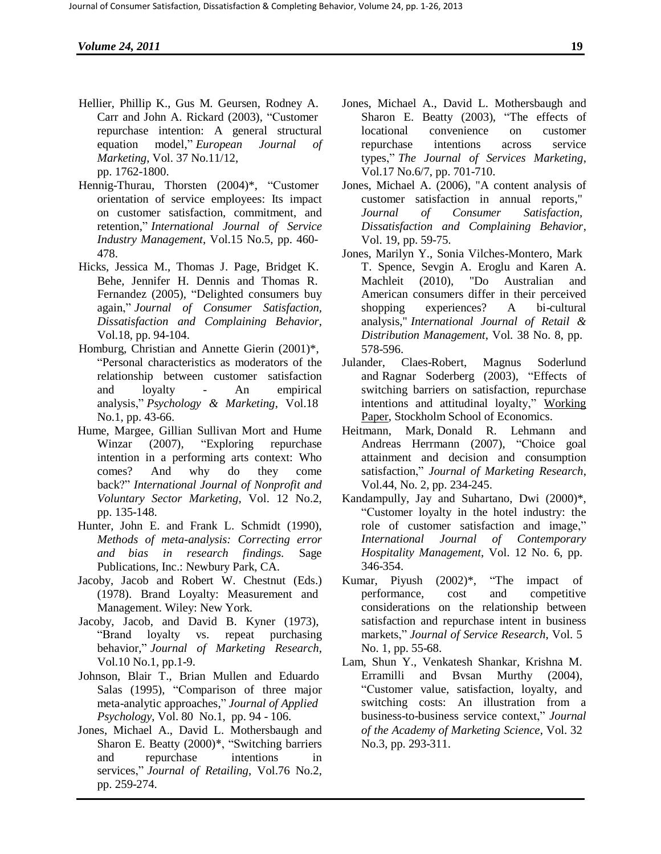- Hellier, Phillip K., Gus M. Geursen, Rodney A. Carr and John A. Rickard (2003), "Customer repurchase intention: A general structural equation model," *European Journal of Marketing*, Vol. 37 No.11/12, pp. 1762-1800.
- Hennig-Thurau, Thorsten (2004)\*, "Customer orientation of service employees: Its impact on customer satisfaction, commitment, and retention," *International Journal of Service Industry Management*, Vol.15 No.5, pp. 460- 478.
- Hicks, Jessica M., Thomas J. Page, Bridget K. Behe, Jennifer H. Dennis and Thomas R. Fernandez (2005), "Delighted consumers buy again," *Journal of Consumer Satisfaction, Dissatisfaction and Complaining Behavior*, Vol.18, pp. 94-104.
- Homburg, Christian and Annette Gierin (2001)\*, "Personal characteristics as moderators of the relationship between customer satisfaction and loyalty - An empirical analysis," *Psychology & Marketing*, Vol.18 No.1, pp. 43-66.
- Hume, Margee, Gillian Sullivan Mort and Hume Winzar (2007), "Exploring repurchase intention in a performing arts context: Who comes? And why do they come back?" *International Journal of Nonprofit and Voluntary Sector Marketing,* Vol. 12 No.2, pp. 135-148.
- Hunter, John E. and Frank L. Schmidt (1990), *Methods of meta-analysis: Correcting error and bias in research findings.* Sage Publications, Inc.: Newbury Park, CA.
- Jacoby, Jacob and Robert W. Chestnut (Eds.) (1978). Brand Loyalty: Measurement and Management. Wiley: New York.
- Jacoby, Jacob, and David B. Kyner (1973), "Brand loyalty vs. repeat purchasing behavior," *Journal of Marketing Research*, Vol.10 No.1, pp.1-9.
- Johnson, Blair T., Brian Mullen and Eduardo Salas (1995), "Comparison of three major meta-analytic approaches," *Journal of Applied Psychology*, Vol. 80 No.1, pp. 94 - 106.
- Jones, Michael A., David L. Mothersbaugh and Sharon E. Beatty (2000)\*, "Switching barriers and repurchase intentions in services," *Journal of Retailing*, Vol.76 No.2, pp. 259-274.
- Jones, Michael A., David L. Mothersbaugh and Sharon E. Beatty (2003), "The effects of locational convenience on customer repurchase intentions across service types," *The Journal of Services Marketing*, Vol.17 No.6/7, pp. 701-710.
- Jones, Michael A. (2006), "A content analysis of customer satisfaction in annual reports," *Journal of Consumer Satisfaction, Dissatisfaction and Complaining Behavior*, Vol. 19, pp. 59-75.
- Jones, Marilyn Y., Sonia Vilches-Montero, Mark T. Spence, Sevgin A. Eroglu and Karen A. Machleit (2010), "Do Australian and American consumers differ in their perceived shopping experiences? A bi-cultural analysis," *International Journal of Retail & Distribution Management*, Vol. 38 No. 8, pp. 578-596.
- Julander, Claes-Robert, Magnus Soderlund and Ragnar Soderberg (2003), "Effects of switching barriers on satisfaction, repurchase intentions and attitudinal loyalty," Working Paper, Stockholm School of Economics.
- Heitmann, Mark, Donald R. Lehmann and Andreas Herrmann (2007), "Choice goal attainment and decision and consumption satisfaction," *Journal of Marketing Research*, Vol.44, No. 2, pp. 234-245.
- Kandampully, Jay and Suhartano, Dwi (2000)\*, "Customer loyalty in the hotel industry: the role of customer satisfaction and image," *International Journal of Contemporary Hospitality Management*, Vol. 12 No. 6, pp. 346-354.
- Kumar, Piyush (2002)\*, "The impact of performance, cost and competitive considerations on the relationship between satisfaction and repurchase intent in business markets," *Journal of Service Research*, Vol. 5 No. 1, pp. 55-68.
- Lam, Shun Y., Venkatesh Shankar, Krishna M. Erramilli and Bvsan Murthy (2004), "Customer value, satisfaction, loyalty, and switching costs: An illustration from a business-to-business service context," *Journal of the Academy of Marketing Science*, Vol. 32 No.3, pp. 293-311.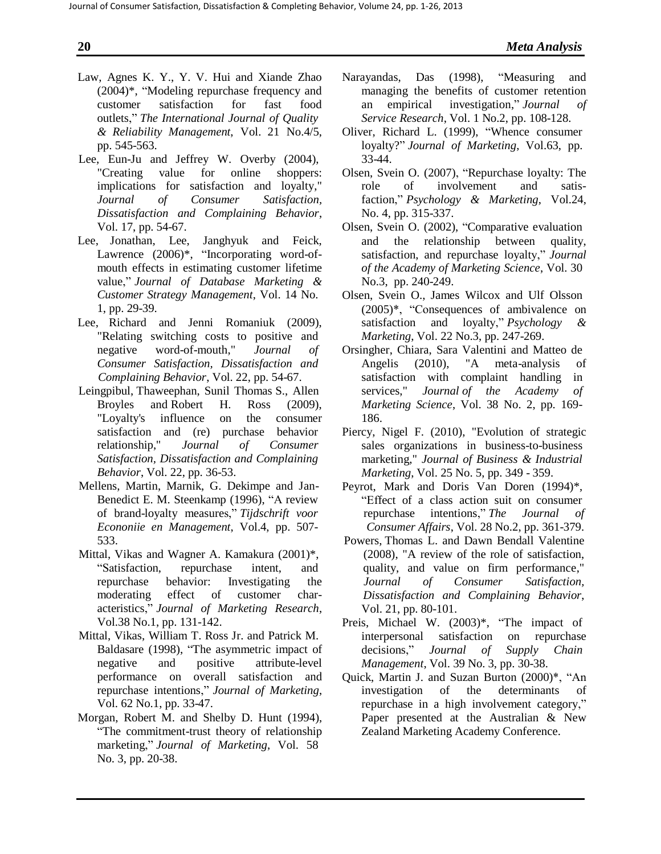- Law, Agnes K. Y., Y. V. Hui and Xiande Zhao (2004)\*, "Modeling repurchase frequency and customer satisfaction for fast food outlets," *The International Journal of Quality & Reliability Management*, Vol. 21 No.4/5, pp. 545-563.
- Lee, Eun-Ju and Jeffrey W. Overby (2004), "Creating value for online shoppers: implications for satisfaction and loyalty," *Journal of Consumer Satisfaction, Dissatisfaction and Complaining Behavior*, Vol. 17, pp. 54-67.
- Lee, Jonathan, Lee, Janghyuk and Feick, Lawrence  $(2006)^*$ , "Incorporating word-ofmouth effects in estimating customer lifetime value," *Journal of Database Marketing & Customer Strategy Management*, Vol. 14 No. 1, pp. 29-39.
- Lee, Richard and Jenni Romaniuk (2009), "Relating switching costs to positive and negative word-of-mouth," *Journal of Consumer Satisfaction, Dissatisfaction and Complaining Behavior*, Vol. 22, pp. 54-67.
- Leingpibul, Thaweephan, Sunil Thomas S., Allen Broyles and Robert H. Ross (2009), "Loyalty's influence on the consumer satisfaction and (re) purchase behavior relationship," *Journal of Consumer Satisfaction, Dissatisfaction and Complaining Behavior*, Vol. 22, pp. 36-53.
- Mellens, Martin, Marnik, G. Dekimpe and Jan-Benedict E. M. Steenkamp (1996), "A review of brand-loyalty measures," *Tijdschrift voor Econoniie en Management*, Vol.4, pp. 507- 533.
- Mittal, Vikas and Wagner A. Kamakura (2001)\*, "Satisfaction, repurchase intent, and repurchase behavior: Investigating the moderating effect of customer characteristics," *Journal of Marketing Research*, Vol.38 No.1, pp. 131-142.
- Mittal, Vikas, William T. Ross Jr. and Patrick M. Baldasare (1998), "The asymmetric impact of negative and positive attribute-level performance on overall satisfaction and repurchase intentions," *Journal of Marketing*, Vol. 62 No.1, pp. 33-47.
- Morgan, Robert M. and Shelby D. Hunt (1994), "The commitment-trust theory of relationship marketing," *Journal of Marketing*, Vol. 58 No. 3, pp. 20-38.
- Narayandas, Das (1998), "Measuring and managing the benefits of customer retention an empirical investigation," *Journal of Service Research*, Vol. 1 No.2, pp. 108-128.
- Oliver, Richard L. (1999), "Whence consumer loyalty?" *Journal of Marketing*, Vol.63, pp. 33-44.
- Olsen, Svein O. (2007), "Repurchase loyalty: The role of involvement and satisfaction," *Psychology & Marketing*, Vol.24, No. 4, pp. 315-337.
- Olsen, Svein O. (2002), "Comparative evaluation and the relationship between quality, satisfaction, and repurchase loyalty," *Journal of the Academy of Marketing Science*, Vol. 30 No.3, pp. 240-249.
- Olsen, Svein O., James Wilcox and Ulf Olsson (2005)\*, "Consequences of ambivalence on satisfaction and loyalty," *Psychology & Marketing*, Vol. 22 No.3, pp. 247-269.
- Orsingher, Chiara, Sara Valentini and Matteo de Angelis (2010), "A meta-analysis of satisfaction with complaint handling in services," *Journal of the Academy of Marketing Science*, Vol. 38 No. 2, pp. 169- 186.
- Piercy, Nigel F. (2010), "Evolution of strategic sales organizations in business-to-business marketing," *Journal of Business & Industrial Marketing*, Vol. 25 No. 5, pp. 349 - 359.
- Peyrot, Mark and Doris Van Doren (1994)\*, "Effect of a class action suit on consumer repurchase intentions," *The Journal of Consumer Affairs*, Vol. 28 No.2, pp. 361-379.
- Powers, Thomas L. and Dawn Bendall Valentine (2008), "A review of the role of satisfaction, quality, and value on firm performance," *Journal of Consumer Satisfaction, Dissatisfaction and Complaining Behavior*, Vol. 21, pp. 80-101.
- Preis, Michael W. (2003)\*, "The impact of interpersonal satisfaction on repurchase decisions," *Journal of Supply Chain Management*, Vol. 39 No. 3, pp. 30-38.
- Quick, Martin J. and Suzan Burton (2000)\*, "An investigation of the determinants of repurchase in a high involvement category," Paper presented at the Australian & New Zealand Marketing Academy Conference.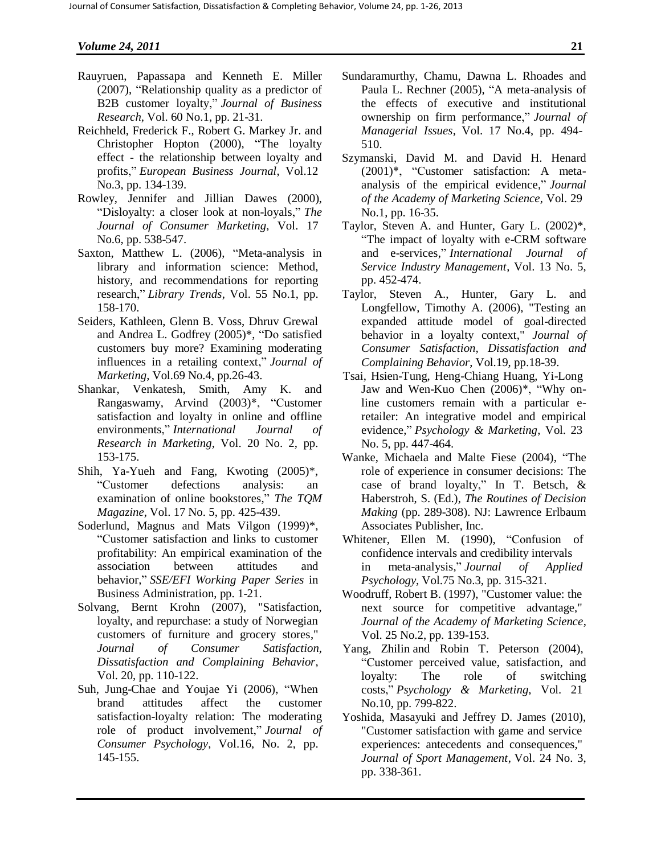- Rauyruen, Papassapa and Kenneth E. Miller (2007), "Relationship quality as a predictor of B2B customer loyalty," *Journal of Business Research*, Vol. 60 No.1, pp. 21-31.
- Reichheld, Frederick F., Robert G. Markey Jr. and Christopher Hopton (2000), "The loyalty effect - the relationship between loyalty and profits," *European Business Journal*, Vol.12 No.3, pp. 134-139.
- Rowley, Jennifer and Jillian Dawes (2000), "Disloyalty: a closer look at non-loyals," *The Journal of Consumer Marketing*, Vol. 17 No.6, pp. 538-547.
- Saxton, Matthew L. (2006), "Meta-analysis in library and information science: Method, history, and recommendations for reporting research," *Library Trends*, Vol. 55 No.1, pp. 158-170.
- Seiders, Kathleen, Glenn B. Voss, Dhruv Grewal and Andrea L. Godfrey (2005)\*, "Do satisfied customers buy more? Examining moderating influences in a retailing context," *Journal of Marketing*, Vol.69 No.4, pp.26-43.
- Shankar, Venkatesh, Smith, Amy K. and Rangaswamy, Arvind (2003)\*, "Customer satisfaction and loyalty in online and offline environments," *International Journal of Research in Marketing*, Vol. 20 No. 2, pp. 153-175.
- Shih, Ya-Yueh and Fang, Kwoting (2005)\*, "Customer defections analysis: an examination of online bookstores," *The TQM Magazine*, Vol. 17 No. 5, pp. 425-439.
- Soderlund, Magnus and Mats Vilgon (1999)\*, "Customer satisfaction and links to customer profitability: An empirical examination of the association between attitudes and behavior," *SSE/EFI Working Paper Series* in Business Administration, pp. 1-21.
- Solvang, Bernt Krohn (2007), "Satisfaction, loyalty, and repurchase: a study of Norwegian customers of furniture and grocery stores," *Journal of Consumer Satisfaction, Dissatisfaction and Complaining Behavior*, Vol. 20, pp. 110-122.
- Suh, Jung-Chae and Youjae Yi (2006), "When brand attitudes affect the customer satisfaction-loyalty relation: The moderating role of product involvement," *Journal of Consumer Psychology*, Vol.16, No. 2, pp. 145-155.
- Sundaramurthy, Chamu, Dawna L. Rhoades and Paula L. Rechner (2005), "A meta-analysis of the effects of executive and institutional ownership on firm performance," *Journal of Managerial Issues*, Vol. 17 No.4, pp. 494- 510.
- Szymanski, David M. and David H. Henard (2001)\*, "Customer satisfaction: A metaanalysis of the empirical evidence," *Journal of the Academy of Marketing Science*, Vol. 29 No.1, pp. 16-35.
- Taylor, Steven A. and Hunter, Gary L. (2002)\*, "The impact of loyalty with e-CRM software and e-services," *International Journal of Service Industry Management*, Vol. 13 No. 5, pp. 452-474.
- Taylor, Steven A., Hunter, Gary L. and Longfellow, Timothy A. (2006), "Testing an expanded attitude model of goal-directed behavior in a loyalty context," *Journal of Consumer Satisfaction, Dissatisfaction and Complaining Behavior*, Vol.19, pp.18-39.
- Tsai, Hsien-Tung, Heng-Chiang Huang, Yi-Long Jaw and Wen-Kuo Chen (2006)\*, "Why online customers remain with a particular eretailer: An integrative model and empirical evidence," *Psychology & Marketing*, Vol. 23 No. 5, pp. 447-464.
- Wanke, Michaela and Malte Fiese (2004), "The role of experience in consumer decisions: The case of brand loyalty," In T. Betsch, & Haberstroh, S. (Ed.), *The Routines of Decision Making* (pp. 289-308). NJ: Lawrence Erlbaum Associates Publisher, Inc.
- Whitener, Ellen M. (1990), "Confusion of confidence intervals and credibility intervals in meta-analysis," *Journal of Applied Psychology*, Vol.75 No.3, pp. 315-321.
- Woodruff, Robert B. (1997), "Customer value: the next source for competitive advantage," *Journal of the Academy of Marketing Science*, Vol. 25 No.2, pp. 139-153.
- Yang, Zhilin and Robin T. Peterson (2004), "Customer perceived value, satisfaction, and loyalty: The role of switching costs," *Psychology & Marketing*, Vol. 21 No.10, pp. 799-822.
- Yoshida, Masayuki and Jeffrey D. James (2010), "Customer satisfaction with game and service experiences: antecedents and consequences," *Journal of Sport Management*, Vol. 24 No. 3, pp. 338-361.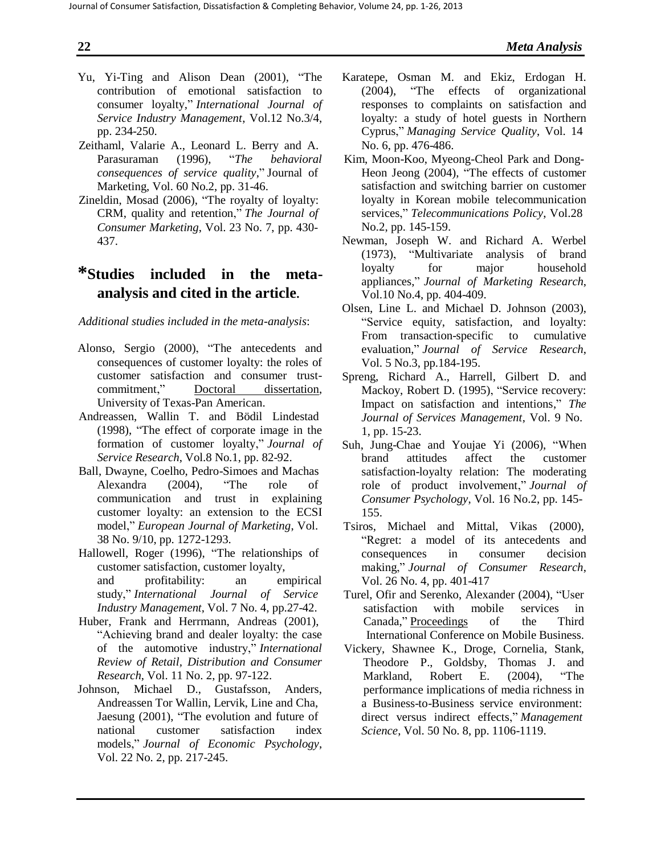- Yu, Yi-Ting and Alison Dean (2001), "The contribution of emotional satisfaction to consumer loyalty," *International Journal of Service Industry Management*, Vol.12 No.3/4, pp. 234-250.
- Zeithaml, Valarie A., Leonard L. Berry and A. Parasuraman (1996), "*The behavioral consequences of service quality*," Journal of Marketing, Vol. 60 No.2, pp. 31-46.
- Zineldin, Mosad (2006), "The royalty of loyalty: CRM, quality and retention," *The Journal of Consumer Marketing*, Vol. 23 No. 7, pp. 430- 437.

# **\*Studies included in the metaanalysis and cited in the article.**

### *Additional studies included in the meta-analysis*:

- Alonso, Sergio (2000), "The antecedents and consequences of customer loyalty: the roles of customer satisfaction and consumer trustcommitment," Doctoral dissertation, University of Texas-Pan American.
- Andreassen, Wallin T. and Bödil Lindestad (1998), "The effect of corporate image in the formation of customer loyalty," *Journal of Service Research*, Vol.8 No.1, pp. 82-92.
- Ball, Dwayne, Coelho, Pedro-Simoes and Machas Alexandra (2004), "The role of communication and trust in explaining customer loyalty: an extension to the ECSI model," *European Journal of Marketing*, Vol. 38 No. 9/10, pp. 1272-1293.
- Hallowell, Roger (1996), "The relationships of customer satisfaction, customer loyalty, and profitability: an empirical study," *International Journal of Service Industry Management*, Vol. 7 No. 4, pp.27-42.
- Huber, Frank and Herrmann, Andreas (2001), "Achieving brand and dealer loyalty: the case of the automotive industry," *International Review of Retail, Distribution and Consumer Research*, Vol. 11 No. 2, pp. 97-122.
- Johnson, Michael D., Gustafsson, Anders, Andreassen Tor Wallin, Lervik, Line and Cha, Jaesung (2001), "The evolution and future of national customer satisfaction index models," *Journal of Economic Psychology*, Vol. 22 No. 2, pp. 217-245.
- Karatepe, Osman M. and Ekiz, Erdogan H. (2004), "The effects of organizational responses to complaints on satisfaction and loyalty: a study of hotel guests in Northern Cyprus," *Managing Service Quality*, Vol. 14 No. 6, pp. 476-486.
- Kim, Moon-Koo, Myeong-Cheol Park and Dong-Heon Jeong (2004), "The effects of customer satisfaction and switching barrier on customer loyalty in Korean mobile telecommunication services," *Telecommunications Policy*, Vol.28 No.2, pp. 145-159.
- Newman, Joseph W. and Richard A. Werbel  $(1973)$ , "Multivariate analysis loyalty for major household appliances," *Journal of Marketing Research*, Vol.10 No.4, pp. 404-409.
- Olsen, Line L. and Michael D. Johnson (2003), "Service equity, satisfaction, and loyalty: From transaction-specific to cumulative evaluation," *Journal of Service Research*, Vol. 5 No.3, pp.184-195.
- Spreng, Richard A., Harrell, Gilbert D. and Mackoy, Robert D. (1995), "Service recovery: Impact on satisfaction and intentions," *The Journal of Services Management*, Vol. 9 No. 1, pp. 15-23.
- Suh, Jung-Chae and Youjae Yi (2006), "When brand attitudes affect the customer satisfaction-loyalty relation: The moderating role of product involvement," *Journal of Consumer Psychology*, Vol. 16 No.2, pp. 145- 155.
- Tsiros, Michael and Mittal, Vikas (2000), "Regret: a model of its antecedents and consequences in consumer decision making," *Journal of Consumer Research*, Vol. 26 No. 4, pp. 401-417
- Turel, Ofir and Serenko, Alexander (2004), "User satisfaction with mobile services in Canada," Proceedings of the Third International Conference on Mobile Business.
- Vickery, Shawnee K., Droge, Cornelia, Stank, Theodore P., Goldsby, Thomas J. and Markland, Robert E. (2004), "The performance implications of media richness in a Business-to-Business service environment: direct versus indirect effects," *Management Science*, Vol. 50 No. 8, pp. 1106-1119.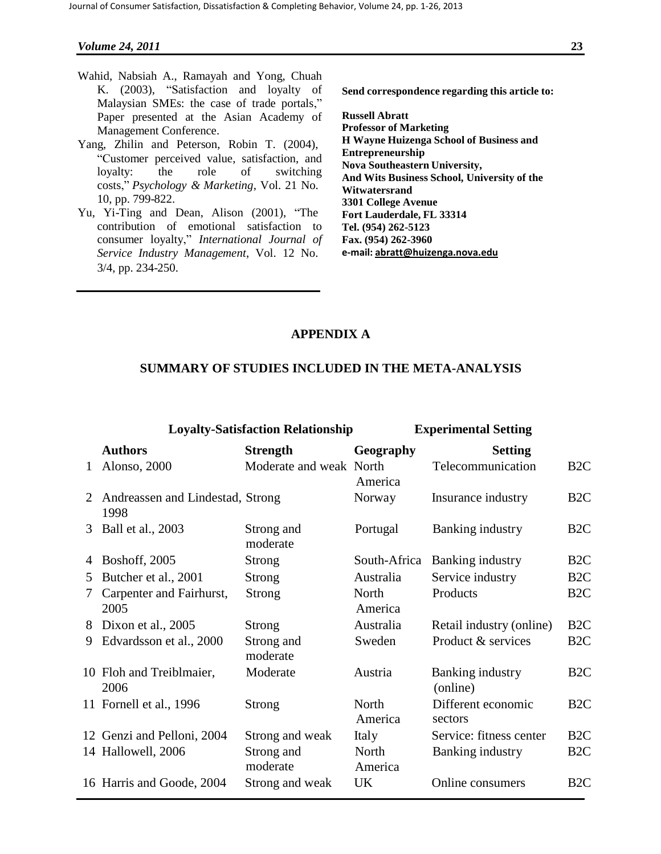- Wahid, Nabsiah A., Ramayah and Yong, Chuah K. (2003), "Satisfaction and loyalty of Malaysian SMEs: the case of trade portals," Paper presented at the Asian Academy of Management Conference.
- Yang, Zhilin and Peterson, Robin T. (2004), "Customer perceived value, satisfaction, and loyalty: the role of switching costs," *Psychology & Marketing*, Vol. 21 No. 10, pp. 799-822.
- Yu, Yi-Ting and Dean, Alison (2001), "The contribution of emotional satisfaction to consumer loyalty," *International Journal of Service Industry Management*, Vol. 12 No. 3/4, pp. 234-250.

**Send correspondence regarding this article to:** 

**Russell Abratt Professor of Marketing H Wayne Huizenga School of Business and Entrepreneurship Nova Southeastern University, And Wits Business School, University of the Witwatersrand 3301 College Avenue Fort Lauderdale, FL 33314 Tel. (954) 262-5123 Fax. (954) 262-3960 e-mail: [abratt@huizenga.nova.edu](mailto:abratt@huizenga.nova.edu)**

### **APPENDIX A**

### **SUMMARY OF STUDIES INCLUDED IN THE META-ANALYSIS**

|              | <b>Loyalty-Satisfaction Relationship</b> |                         | <b>Experimental Setting</b> |                               |                  |  |
|--------------|------------------------------------------|-------------------------|-----------------------------|-------------------------------|------------------|--|
|              | <b>Authors</b>                           | <b>Strength</b>         | Geography                   | <b>Setting</b>                |                  |  |
| $\mathbf{1}$ | Alonso, 2000                             | Moderate and weak North | America                     | Telecommunication             | B <sub>2C</sub>  |  |
| 2            | Andreassen and Lindestad, Strong<br>1998 |                         | Norway                      | Insurance industry            | B <sub>2</sub> C |  |
| 3            | Ball et al., 2003                        | Strong and<br>moderate  | Portugal                    | Banking industry              | B <sub>2</sub> C |  |
| 4            | <b>Boshoff</b> , 2005                    | Strong                  | South-Africa                | Banking industry              | B <sub>2</sub> C |  |
| 5            | Butcher et al., 2001                     | Strong                  | Australia                   | Service industry              | B <sub>2C</sub>  |  |
| 7            | Carpenter and Fairhurst,<br>2005         | <b>Strong</b>           | North<br>America            | Products                      | B <sub>2</sub> C |  |
| 8            | Dixon et al., 2005                       | Strong                  | Australia                   | Retail industry (online)      | B <sub>2</sub> C |  |
| 9            | Edvardsson et al., 2000                  | Strong and<br>moderate  | Sweden                      | Product & services            | B <sub>2C</sub>  |  |
|              | 10 Floh and Treiblmaier,<br>2006         | Moderate                | Austria                     | Banking industry<br>(online)  | B <sub>2</sub> C |  |
|              | 11 Fornell et al., 1996                  | <b>Strong</b>           | North<br>America            | Different economic<br>sectors | B <sub>2</sub> C |  |
|              | 12 Genzi and Pelloni, 2004               | Strong and weak         | Italy                       | Service: fitness center       | B <sub>2C</sub>  |  |
|              | 14 Hallowell, 2006                       | Strong and<br>moderate  | North<br>America            | Banking industry              | B <sub>2</sub> C |  |
|              | 16 Harris and Goode, 2004                | Strong and weak         | <b>UK</b>                   | Online consumers              | B <sub>2C</sub>  |  |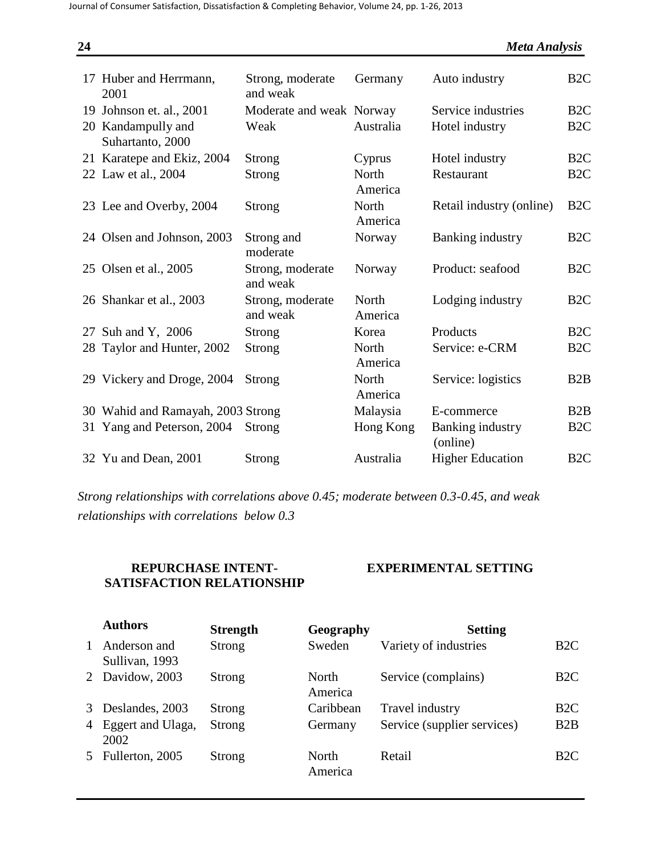| 24 |                                        |                              |                         | <b>Meta Analysis</b>                |                  |
|----|----------------------------------------|------------------------------|-------------------------|-------------------------------------|------------------|
|    | 17 Huber and Herrmann,<br>2001         | Strong, moderate<br>and weak | Germany                 | Auto industry                       | B <sub>2C</sub>  |
|    | 19 Johnson et. al., 2001               | Moderate and weak Norway     |                         | Service industries                  | B <sub>2</sub> C |
|    | 20 Kandampully and<br>Suhartanto, 2000 | Weak                         | Australia               | Hotel industry                      | B <sub>2C</sub>  |
|    | 21 Karatepe and Ekiz, 2004             | Strong                       | Cyprus                  | Hotel industry                      | B <sub>2C</sub>  |
|    | 22 Law et al., 2004                    | Strong                       | North<br>America        | Restaurant                          | B <sub>2C</sub>  |
|    | 23 Lee and Overby, 2004                | Strong                       | North<br>America        | Retail industry (online)            | B <sub>2</sub> C |
|    | 24 Olsen and Johnson, 2003             | Strong and<br>moderate       | Norway                  | <b>Banking industry</b>             | B <sub>2C</sub>  |
|    | 25 Olsen et al., 2005                  | Strong, moderate<br>and weak | Norway                  | Product: seafood                    | B <sub>2</sub> C |
|    | 26 Shankar et al., 2003                | Strong, moderate<br>and weak | North<br>America        | Lodging industry                    | B <sub>2C</sub>  |
|    | 27 Suh and Y, 2006                     | Strong                       | Korea                   | Products                            | B <sub>2C</sub>  |
|    | 28 Taylor and Hunter, 2002             | Strong                       | <b>North</b><br>America | Service: e-CRM                      | B <sub>2C</sub>  |
|    | 29 Vickery and Droge, 2004             | Strong                       | North<br>America        | Service: logistics                  | B2B              |
|    | 30 Wahid and Ramayah, 2003 Strong      |                              | Malaysia                | E-commerce                          | B2B              |
| 31 | Yang and Peterson, 2004                | Strong                       | Hong Kong               | <b>Banking industry</b><br>(online) | B <sub>2C</sub>  |
|    | 32 Yu and Dean, 2001                   | Strong                       | Australia               | <b>Higher Education</b>             | B <sub>2C</sub>  |

*Strong relationships with correlations above 0.45; moderate between 0.3-0.45, and weak relationships with correlations below 0.3*

# **REPURCHASE INTENT-SATISFACTION RELATIONSHIP**

# **EXPERIMENTAL SETTING**

|              | <b>Authors</b>                 | <b>Strength</b> | Geography        | <b>Setting</b>              |                  |
|--------------|--------------------------------|-----------------|------------------|-----------------------------|------------------|
| $\mathbf{1}$ | Anderson and<br>Sullivan, 1993 | Strong          | Sweden           | Variety of industries       | B <sub>2C</sub>  |
|              | 2 Davidow, 2003                | Strong          | North<br>America | Service (complains)         | B <sub>2</sub> C |
|              | 3 Deslandes, 2003              | Strong          | Caribbean        | Travel industry             | B <sub>2C</sub>  |
|              | 4 Eggert and Ulaga,<br>2002    | Strong          | Germany          | Service (supplier services) | B2B              |
|              | 5 Fullerton, 2005              | Strong          | North<br>America | Retail                      | B <sub>2</sub> C |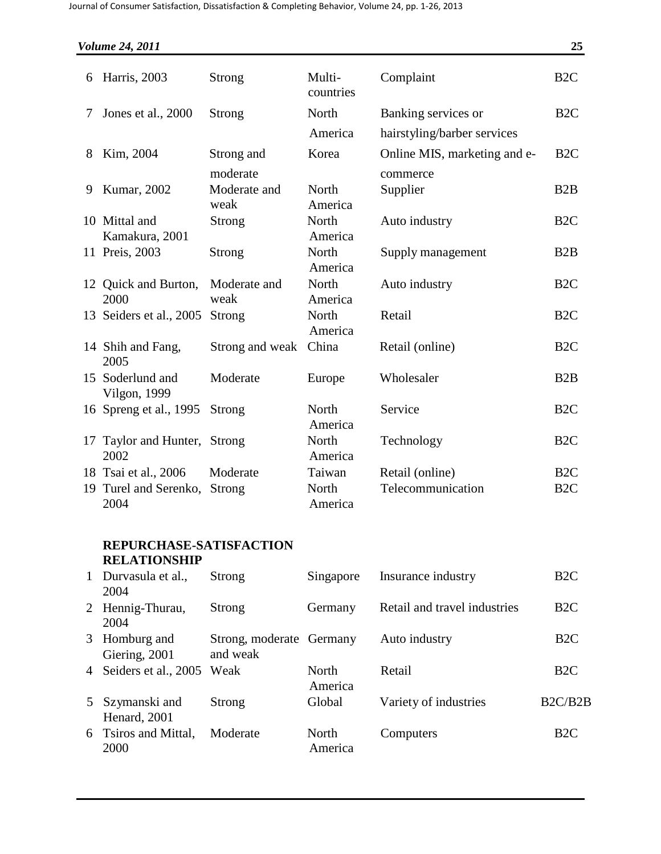|    | <b>Volume 24, 2011</b>           |                        |                     |                                          | 25               |
|----|----------------------------------|------------------------|---------------------|------------------------------------------|------------------|
| 6  | Harris, 2003                     | <b>Strong</b>          | Multi-<br>countries | Complaint                                | B <sub>2C</sub>  |
| 7  | Jones et al., 2000               | <b>Strong</b>          | North               | Banking services or                      | B <sub>2</sub> C |
|    |                                  |                        | America             | hairstyling/barber services              |                  |
| 8  | Kim, 2004                        | Strong and<br>moderate | Korea               | Online MIS, marketing and e-<br>commerce | B <sub>2</sub> C |
| 9  | Kumar, 2002                      | Moderate and<br>weak   | North<br>America    | Supplier                                 | B2B              |
|    | 10 Mittal and<br>Kamakura, 2001  | <b>Strong</b>          | North<br>America    | Auto industry                            | B <sub>2C</sub>  |
|    | 11 Preis, 2003                   | <b>Strong</b>          | North<br>America    | Supply management                        | B2B              |
|    | 12 Quick and Burton,<br>2000     | Moderate and<br>weak   | North<br>America    | Auto industry                            | B <sub>2C</sub>  |
|    | 13 Seiders et al., 2005          | Strong                 | North<br>America    | Retail                                   | B <sub>2C</sub>  |
|    | 14 Shih and Fang,<br>2005        | Strong and weak        | China               | Retail (online)                          | B <sub>2C</sub>  |
|    | 15 Soderlund and<br>Vilgon, 1999 | Moderate               | Europe              | Wholesaler                               | B2B              |
|    | 16 Spreng et al., 1995           | Strong                 | North<br>America    | Service                                  | B <sub>2C</sub>  |
| 17 | Taylor and Hunter,<br>2002       | Strong                 | North<br>America    | Technology                               | B <sub>2C</sub>  |
|    | 18 Tsai et al., 2006             | Moderate               | Taiwan              | Retail (online)                          | B <sub>2C</sub>  |
| 19 | Turel and Serenko,<br>2004       | Strong                 | North<br>America    | Telecommunication                        | B <sub>2C</sub>  |

# **REPURCHASE-SATISFACTION RELATIONSHIP**

| 1              | Durvasula et al.,<br>2004      | Strong                               | Singapore        | Insurance industry           | B <sub>2</sub> C |
|----------------|--------------------------------|--------------------------------------|------------------|------------------------------|------------------|
|                | 2 Hennig-Thurau,<br>2004       | Strong                               | Germany          | Retail and travel industries | B <sub>2</sub> C |
|                | 3 Homburg and<br>Giering, 2001 | Strong, moderate Germany<br>and weak |                  | Auto industry                | B <sub>2</sub> C |
|                | 4 Seiders et al., 2005         | Weak                                 | North<br>America | Retail                       | B <sub>2</sub> C |
| 5 <sup>5</sup> | Szymanski and<br>Henard, 2001  | Strong                               | Global           | Variety of industries        | B2C/B2B          |
|                | 6 Tsiros and Mittal,<br>2000   | Moderate                             | North<br>America | Computers                    | B2C              |